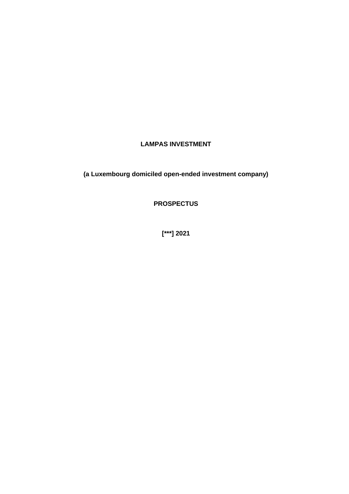## **LAMPAS INVESTMENT**

**(a Luxembourg domiciled open-ended investment company)**

**PROSPECTUS**

**[\*\*\*] 2021**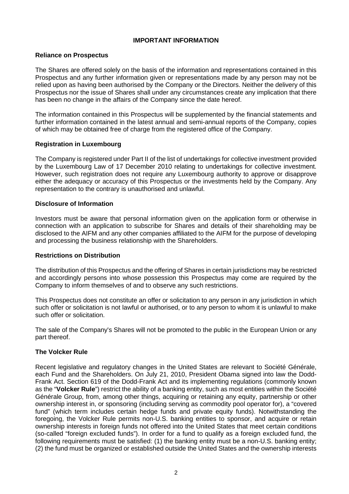#### **IMPORTANT INFORMATION**

#### **Reliance on Prospectus**

The Shares are offered solely on the basis of the information and representations contained in this Prospectus and any further information given or representations made by any person may not be relied upon as having been authorised by the Company or the Directors. Neither the delivery of this Prospectus nor the issue of Shares shall under any circumstances create any implication that there has been no change in the affairs of the Company since the date hereof.

The information contained in this Prospectus will be supplemented by the financial statements and further information contained in the latest annual and semi-annual reports of the Company, copies of which may be obtained free of charge from the registered office of the Company.

### **Registration in Luxembourg**

The Company is registered under Part II of the list of undertakings for collective investment provided by the Luxembourg Law of 17 December 2010 relating to undertakings for collective investment. However, such registration does not require any Luxembourg authority to approve or disapprove either the adequacy or accuracy of this Prospectus or the investments held by the Company. Any representation to the contrary is unauthorised and unlawful.

#### **Disclosure of Information**

Investors must be aware that personal information given on the application form or otherwise in connection with an application to subscribe for Shares and details of their shareholding may be disclosed to the AIFM and any other companies affiliated to the AIFM for the purpose of developing and processing the business relationship with the Shareholders.

#### **Restrictions on Distribution**

The distribution of this Prospectus and the offering of Shares in certain jurisdictions may be restricted and accordingly persons into whose possession this Prospectus may come are required by the Company to inform themselves of and to observe any such restrictions.

This Prospectus does not constitute an offer or solicitation to any person in any jurisdiction in which such offer or solicitation is not lawful or authorised, or to any person to whom it is unlawful to make such offer or solicitation.

The sale of the Company's Shares will not be promoted to the public in the European Union or any part thereof.

#### **The Volcker Rule**

Recent legislative and regulatory changes in the United States are relevant to Société Générale, each Fund and the Shareholders. On July 21, 2010, President Obama signed into law the Dodd-Frank Act. Section 619 of the Dodd-Frank Act and its implementing regulations (commonly known as the "**Volcker Rule**") restrict the ability of a banking entity, such as most entities within the Société Générale Group, from, among other things, acquiring or retaining any equity, partnership or other ownership interest in, or sponsoring (including serving as commodity pool operator for), a "covered fund" (which term includes certain hedge funds and private equity funds). Notwithstanding the foregoing, the Volcker Rule permits non-U.S. banking entities to sponsor, and acquire or retain ownership interests in foreign funds not offered into the United States that meet certain conditions (so-called "foreign excluded funds"). In order for a fund to qualify as a foreign excluded fund, the following requirements must be satisfied: (1) the banking entity must be a non-U.S. banking entity; (2) the fund must be organized or established outside the United States and the ownership interests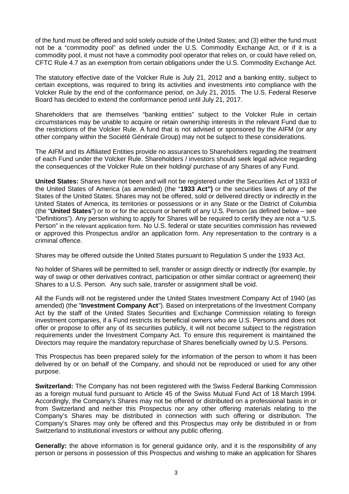of the fund must be offered and sold solely outside of the United States; and (3) either the fund must not be a "commodity pool" as defined under the U.S. Commodity Exchange Act, or if it is a commodity pool, it must not have a commodity pool operator that relies on, or could have relied on, CFTC Rule 4.7 as an exemption from certain obligations under the U.S. Commodity Exchange Act.

The statutory effective date of the Volcker Rule is July 21, 2012 and a banking entity, subject to certain exceptions, was required to bring its activities and investments into compliance with the Volcker Rule by the end of the conformance period, on July 21, 2015. The U.S. Federal Reserve Board has decided to extend the conformance period until July 21, 2017.

Shareholders that are themselves "banking entities" subject to the Volcker Rule in certain circumstances may be unable to acquire or retain ownership interests in the relevant Fund due to the restrictions of the Volcker Rule. A fund that is not advised or sponsored by the AIFM (or any other company within the Société Générale Group) may not be subject to these considerations.

The AIFM and its Affiliated Entities provide no assurances to Shareholders regarding the treatment of each Fund under the Volcker Rule. Shareholders / investors should seek legal advice regarding the consequences of the Volcker Rule on their holding/ purchase of any Shares of any Fund.

**United States:** Shares have not been and will not be registered under the Securities Act of 1933 of the United States of America (as amended) (the "**1933 Act")** or the securities laws of any of the States of the United States. Shares may not be offered, sold or delivered directly or indirectly in the United States of America, its territories or possessions or in any State or the District of Columbia (the "**United States**") or to or for the account or benefit of any U.S. Person (as defined below – see "Definitions"). Any person wishing to apply for Shares will be required to certify they are not a "U.S. Person" in the relevant application form. No U.S. federal or state securities commission has reviewed or approved this Prospectus and/or an application form. Any representation to the contrary is a criminal offence.

Shares may be offered outside the United States pursuant to Regulation S under the 1933 Act.

No holder of Shares will be permitted to sell, transfer or assign directly or indirectly (for example, by way of swap or other derivatives contract, participation or other similar contract or agreement) their Shares to a U.S. Person. Any such sale, transfer or assignment shall be void.

All the Funds will not be registered under the United States Investment Company Act of 1940 (as amended) (the "**Investment Company Act**"). Based on interpretations of the Investment Company Act by the staff of the United States Securities and Exchange Commission relating to foreign investment companies, if a Fund restricts its beneficial owners who are U.S. Persons and does not offer or propose to offer any of its securities publicly, it will not become subject to the registration requirements under the Investment Company Act. To ensure this requirement is maintained the Directors may require the mandatory repurchase of Shares beneficially owned by U.S. Persons.

This Prospectus has been prepared solely for the information of the person to whom it has been delivered by or on behalf of the Company, and should not be reproduced or used for any other purpose.

**Switzerland:** The Company has not been registered with the Swiss Federal Banking Commission as a foreign mutual fund pursuant to Article 45 of the Swiss Mutual Fund Act of 18 March 1994. Accordingly, the Company's Shares may not be offered or distributed on a professional basis in or from Switzerland and neither this Prospectus nor any other offering materials relating to the Company's Shares may be distributed in connection with such offering or distribution. The Company's Shares may only be offered and this Prospectus may only be distributed in or from Switzerland to institutional investors or without any public offering.

**Generally:** the above information is for general guidance only, and it is the responsibility of any person or persons in possession of this Prospectus and wishing to make an application for Shares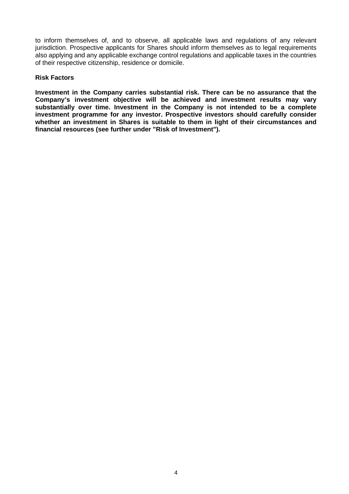to inform themselves of, and to observe, all applicable laws and regulations of any relevant jurisdiction. Prospective applicants for Shares should inform themselves as to legal requirements also applying and any applicable exchange control regulations and applicable taxes in the countries of their respective citizenship, residence or domicile.

#### **Risk Factors**

**Investment in the Company carries substantial risk. There can be no assurance that the Company's investment objective will be achieved and investment results may vary substantially over time. Investment in the Company is not intended to be a complete investment programme for any investor. Prospective investors should carefully consider whether an investment in Shares is suitable to them in light of their circumstances and financial resources (see further under "Risk of Investment").**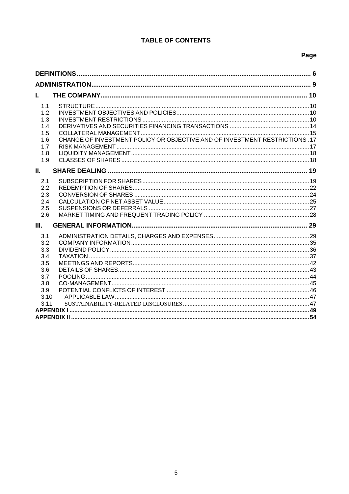## **TABLE OF CONTENTS**

# Page

| L.                                                                                                                                         |  |  |  |
|--------------------------------------------------------------------------------------------------------------------------------------------|--|--|--|
| 1.1<br>1.2<br>1.3<br>1.4<br>1.5<br>CHANGE OF INVESTMENT POLICY OR OBJECTIVE AND OF INVESTMENT RESTRICTIONS .17<br>1.6<br>1.7<br>1.8<br>1.9 |  |  |  |
| Ш.                                                                                                                                         |  |  |  |
| 2.1<br>2.2<br>2.3<br>2.4<br>2.5<br>2.6                                                                                                     |  |  |  |
| Ш.                                                                                                                                         |  |  |  |
| 3.1<br>3.2<br>3.3<br>3.4<br>3.5<br>3.6<br>3.7<br>3.8<br>3.9<br>3.10<br>3.11                                                                |  |  |  |
|                                                                                                                                            |  |  |  |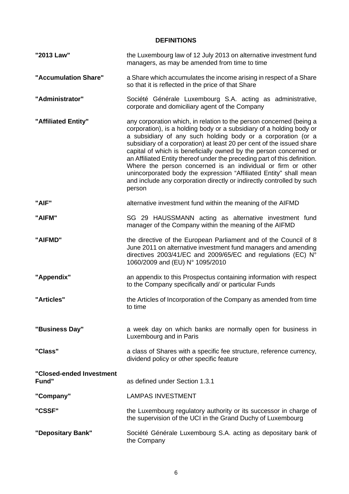### **DEFINITIONS**

| "2013 Law"                        | the Luxembourg law of 12 July 2013 on alternative investment fund<br>managers, as may be amended from time to time                                                                                                                                                                                                                                                                                                                                                                                                                                                                                                                                             |  |
|-----------------------------------|----------------------------------------------------------------------------------------------------------------------------------------------------------------------------------------------------------------------------------------------------------------------------------------------------------------------------------------------------------------------------------------------------------------------------------------------------------------------------------------------------------------------------------------------------------------------------------------------------------------------------------------------------------------|--|
| "Accumulation Share"              | a Share which accumulates the income arising in respect of a Share<br>so that it is reflected in the price of that Share                                                                                                                                                                                                                                                                                                                                                                                                                                                                                                                                       |  |
| "Administrator"                   | Société Générale Luxembourg S.A. acting as administrative,<br>corporate and domiciliary agent of the Company                                                                                                                                                                                                                                                                                                                                                                                                                                                                                                                                                   |  |
| "Affiliated Entity"               | any corporation which, in relation to the person concerned (being a<br>corporation), is a holding body or a subsidiary of a holding body or<br>a subsidiary of any such holding body or a corporation (or a<br>subsidiary of a corporation) at least 20 per cent of the issued share<br>capital of which is beneficially owned by the person concerned or<br>an Affiliated Entity thereof under the preceding part of this definition.<br>Where the person concerned is an individual or firm or other<br>unincorporated body the expression "Affiliated Entity" shall mean<br>and include any corporation directly or indirectly controlled by such<br>person |  |
| "AIF"                             | alternative investment fund within the meaning of the AIFMD                                                                                                                                                                                                                                                                                                                                                                                                                                                                                                                                                                                                    |  |
| "AIFM"                            | SG 29 HAUSSMANN acting as alternative investment fund<br>manager of the Company within the meaning of the AIFMD                                                                                                                                                                                                                                                                                                                                                                                                                                                                                                                                                |  |
| "AIFMD"                           | the directive of the European Parliament and of the Council of 8<br>June 2011 on alternative investment fund managers and amending<br>directives 2003/41/EC and 2009/65/EC and regulations (EC) N°<br>1060/2009 and (EU) N° 1095/2010                                                                                                                                                                                                                                                                                                                                                                                                                          |  |
| "Appendix"                        | an appendix to this Prospectus containing information with respect<br>to the Company specifically and/ or particular Funds                                                                                                                                                                                                                                                                                                                                                                                                                                                                                                                                     |  |
| "Articles"                        | the Articles of Incorporation of the Company as amended from time<br>to time                                                                                                                                                                                                                                                                                                                                                                                                                                                                                                                                                                                   |  |
| "Business Day"                    | a week day on which banks are normally open for business in<br>Luxembourg and in Paris                                                                                                                                                                                                                                                                                                                                                                                                                                                                                                                                                                         |  |
| "Class"                           | a class of Shares with a specific fee structure, reference currency,<br>dividend policy or other specific feature                                                                                                                                                                                                                                                                                                                                                                                                                                                                                                                                              |  |
| "Closed-ended Investment<br>Fund" | as defined under Section 1.3.1                                                                                                                                                                                                                                                                                                                                                                                                                                                                                                                                                                                                                                 |  |
| "Company"                         | <b>LAMPAS INVESTMENT</b>                                                                                                                                                                                                                                                                                                                                                                                                                                                                                                                                                                                                                                       |  |
| "CSSF"                            | the Luxembourg regulatory authority or its successor in charge of<br>the supervision of the UCI in the Grand Duchy of Luxembourg                                                                                                                                                                                                                                                                                                                                                                                                                                                                                                                               |  |
| "Depositary Bank"                 | Société Générale Luxembourg S.A. acting as depositary bank of<br>the Company                                                                                                                                                                                                                                                                                                                                                                                                                                                                                                                                                                                   |  |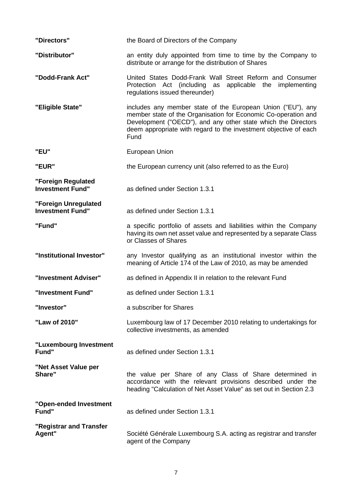| "Directors"                                     | the Board of Directors of the Company                                                                                                                                                                                                                                      |  |  |
|-------------------------------------------------|----------------------------------------------------------------------------------------------------------------------------------------------------------------------------------------------------------------------------------------------------------------------------|--|--|
| "Distributor"                                   | an entity duly appointed from time to time by the Company to<br>distribute or arrange for the distribution of Shares                                                                                                                                                       |  |  |
| "Dodd-Frank Act"                                | United States Dodd-Frank Wall Street Reform and Consumer<br>Protection Act (including as applicable the<br>implementing<br>regulations issued thereunder)                                                                                                                  |  |  |
| "Eligible State"                                | includes any member state of the European Union ("EU"), any<br>member state of the Organisation for Economic Co-operation and<br>Development ("OECD"), and any other state which the Directors<br>deem appropriate with regard to the investment objective of each<br>Fund |  |  |
| "EU"                                            | European Union                                                                                                                                                                                                                                                             |  |  |
| "EUR"                                           | the European currency unit (also referred to as the Euro)                                                                                                                                                                                                                  |  |  |
| "Foreign Regulated<br><b>Investment Fund"</b>   | as defined under Section 1.3.1                                                                                                                                                                                                                                             |  |  |
| "Foreign Unregulated<br><b>Investment Fund"</b> | as defined under Section 1.3.1                                                                                                                                                                                                                                             |  |  |
| "Fund"                                          | a specific portfolio of assets and liabilities within the Company<br>having its own net asset value and represented by a separate Class<br>or Classes of Shares                                                                                                            |  |  |
| "Institutional Investor"                        | any Investor qualifying as an institutional investor within the<br>meaning of Article 174 of the Law of 2010, as may be amended                                                                                                                                            |  |  |
| "Investment Adviser"                            | as defined in Appendix II in relation to the relevant Fund                                                                                                                                                                                                                 |  |  |
| "Investment Fund"                               | as defined under Section 1.3.1                                                                                                                                                                                                                                             |  |  |
| "Investor"                                      | a subscriber for Shares                                                                                                                                                                                                                                                    |  |  |
| "Law of 2010"                                   | Luxembourg law of 17 December 2010 relating to undertakings for<br>collective investments, as amended                                                                                                                                                                      |  |  |
| "Luxembourg Investment<br>Fund"                 | as defined under Section 1.3.1                                                                                                                                                                                                                                             |  |  |
| "Net Asset Value per<br>Share"                  | the value per Share of any Class of Share determined in<br>accordance with the relevant provisions described under the<br>heading "Calculation of Net Asset Value" as set out in Section 2.3                                                                               |  |  |
| "Open-ended Investment<br>Fund"                 | as defined under Section 1.3.1                                                                                                                                                                                                                                             |  |  |
| "Registrar and Transfer<br>Agent"               | Société Générale Luxembourg S.A. acting as registrar and transfer<br>agent of the Company                                                                                                                                                                                  |  |  |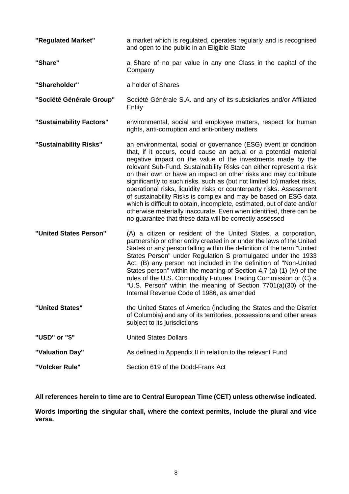| "Regulated Market"       | a market which is regulated, operates regularly and is recognised<br>and open to the public in an Eligible State                                                                                                                                                                                                                                                                                                                                                                                                                                                                                                                                                                                                                                                                  |  |
|--------------------------|-----------------------------------------------------------------------------------------------------------------------------------------------------------------------------------------------------------------------------------------------------------------------------------------------------------------------------------------------------------------------------------------------------------------------------------------------------------------------------------------------------------------------------------------------------------------------------------------------------------------------------------------------------------------------------------------------------------------------------------------------------------------------------------|--|
| "Share"                  | a Share of no par value in any one Class in the capital of the<br>Company                                                                                                                                                                                                                                                                                                                                                                                                                                                                                                                                                                                                                                                                                                         |  |
| "Shareholder"            | a holder of Shares                                                                                                                                                                                                                                                                                                                                                                                                                                                                                                                                                                                                                                                                                                                                                                |  |
| "Société Générale Group" | Société Générale S.A. and any of its subsidiaries and/or Affiliated<br>Entity                                                                                                                                                                                                                                                                                                                                                                                                                                                                                                                                                                                                                                                                                                     |  |
| "Sustainability Factors" | environmental, social and employee matters, respect for human<br>rights, anti-corruption and anti-bribery matters                                                                                                                                                                                                                                                                                                                                                                                                                                                                                                                                                                                                                                                                 |  |
| "Sustainability Risks"   | an environmental, social or governance (ESG) event or condition<br>that, if it occurs, could cause an actual or a potential material<br>negative impact on the value of the investments made by the<br>relevant Sub-Fund. Sustainability Risks can either represent a risk<br>on their own or have an impact on other risks and may contribute<br>significantly to such risks, such as (but not limited to) market risks,<br>operational risks, liquidity risks or counterparty risks. Assessment<br>of sustainability Risks is complex and may be based on ESG data<br>which is difficult to obtain, incomplete, estimated, out of date and/or<br>otherwise materially inaccurate. Even when identified, there can be<br>no guarantee that these data will be correctly assessed |  |
| "United States Person"   | (A) a citizen or resident of the United States, a corporation,<br>partnership or other entity created in or under the laws of the United<br>States or any person falling within the definition of the term "United<br>States Person" under Regulation S promulgated under the 1933<br>Act; (B) any person not included in the definition of "Non-United<br>States person" within the meaning of Section 4.7 (a) (1) (iv) of the<br>rules of the U.S. Commodity Futures Trading Commission or (C) a<br>"U.S. Person" within the meaning of Section 7701(a)(30) of the<br>Internal Revenue Code of 1986, as amended                                                                                                                                                                 |  |
| "United States"          | the United States of America (including the States and the District<br>of Columbia) and any of its territories, possessions and other areas<br>subject to its jurisdictions                                                                                                                                                                                                                                                                                                                                                                                                                                                                                                                                                                                                       |  |
| "USD" or "\$"            | <b>United States Dollars</b>                                                                                                                                                                                                                                                                                                                                                                                                                                                                                                                                                                                                                                                                                                                                                      |  |
| "Valuation Day"          | As defined in Appendix II in relation to the relevant Fund                                                                                                                                                                                                                                                                                                                                                                                                                                                                                                                                                                                                                                                                                                                        |  |
| "Volcker Rule"           | Section 619 of the Dodd-Frank Act                                                                                                                                                                                                                                                                                                                                                                                                                                                                                                                                                                                                                                                                                                                                                 |  |

**All references herein to time are to Central European Time (CET) unless otherwise indicated.**

**Words importing the singular shall, where the context permits, include the plural and vice versa.**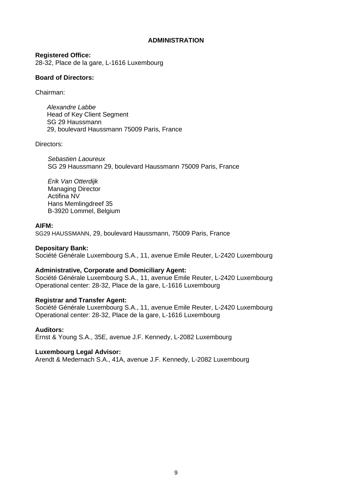#### **ADMINISTRATION**

**Registered Office:** 28-32, Place de la gare, L-1616 Luxembourg

#### **Board of Directors:**

Chairman:

*Alexandre Labbe* Head of Key Client Segment SG 29 Haussmann 29, boulevard Haussmann 75009 Paris, France

Directors:

*Sebastien Laoureux* SG 29 Haussmann 29, boulevard Haussmann 75009 Paris, France

*Erik Van Otterdijk* Managing Director Actifina NV Hans Memlingdreef 35 B-3920 Lommel, Belgium

#### **AIFM:**

SG29 HAUSSMANN, 29, boulevard Haussmann, 75009 Paris, France

#### **Depositary Bank:**

Société Générale Luxembourg S.A., 11, avenue Emile Reuter, L-2420 Luxembourg

#### **Administrative, Corporate and Domiciliary Agent:**

Société Générale Luxembourg S.A., 11, avenue Emile Reuter, L-2420 Luxembourg Operational center: 28-32, Place de la gare, L-1616 Luxembourg

### **Registrar and Transfer Agent:**

Société Générale Luxembourg S.A., 11, avenue Emile Reuter, L-2420 Luxembourg Operational center: 28-32, Place de la gare, L-1616 Luxembourg

#### **Auditors:**

Ernst & Young S.A., 35E, avenue J.F. Kennedy, L-2082 Luxembourg

#### **Luxembourg Legal Advisor:**

Arendt & Medernach S.A., 41A, avenue J.F. Kennedy, L-2082 Luxembourg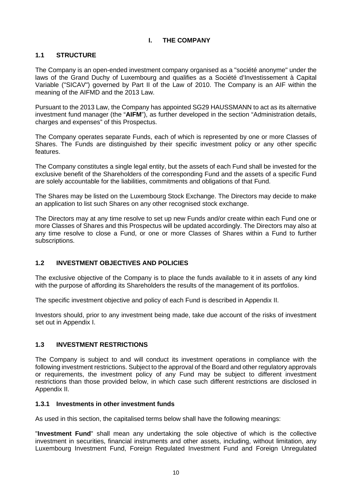### **I. THE COMPANY**

## **1.1 STRUCTURE**

The Company is an open-ended investment company organised as a "société anonyme" under the laws of the Grand Duchy of Luxembourg and qualifies as a Société d'Investissement à Capital Variable ("SICAV") governed by Part II of the Law of 2010. The Company is an AIF within the meaning of the AIFMD and the 2013 Law.

Pursuant to the 2013 Law, the Company has appointed SG29 HAUSSMANN to act as its alternative investment fund manager (the "**AIFM**"), as further developed in the section "Administration details, charges and expenses" of this Prospectus.

The Company operates separate Funds, each of which is represented by one or more Classes of Shares. The Funds are distinguished by their specific investment policy or any other specific features.

The Company constitutes a single legal entity, but the assets of each Fund shall be invested for the exclusive benefit of the Shareholders of the corresponding Fund and the assets of a specific Fund are solely accountable for the liabilities, commitments and obligations of that Fund.

The Shares may be listed on the Luxembourg Stock Exchange. The Directors may decide to make an application to list such Shares on any other recognised stock exchange.

The Directors may at any time resolve to set up new Funds and/or create within each Fund one or more Classes of Shares and this Prospectus will be updated accordingly. The Directors may also at any time resolve to close a Fund, or one or more Classes of Shares within a Fund to further subscriptions.

## **1.2 INVESTMENT OBJECTIVES AND POLICIES**

The exclusive objective of the Company is to place the funds available to it in assets of any kind with the purpose of affording its Shareholders the results of the management of its portfolios.

The specific investment objective and policy of each Fund is described in Appendix II.

Investors should, prior to any investment being made, take due account of the risks of investment set out in Appendix I.

## **1.3 INVESTMENT RESTRICTIONS**

The Company is subject to and will conduct its investment operations in compliance with the following investment restrictions. Subject to the approval of the Board and other regulatory approvals or requirements, the investment policy of any Fund may be subject to different investment restrictions than those provided below, in which case such different restrictions are disclosed in Appendix II.

### **1.3.1 Investments in other investment funds**

As used in this section, the capitalised terms below shall have the following meanings:

"**Investment Fund**" shall mean any undertaking the sole objective of which is the collective investment in securities, financial instruments and other assets, including, without limitation, any Luxembourg Investment Fund, Foreign Regulated Investment Fund and Foreign Unregulated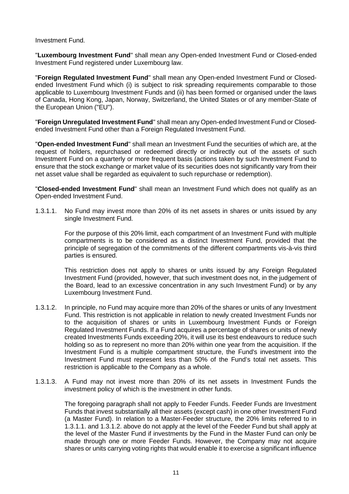Investment Fund.

"**Luxembourg Investment Fund**" shall mean any Open-ended Investment Fund or Closed-ended Investment Fund registered under Luxembourg law.

"**Foreign Regulated Investment Fund**" shall mean any Open-ended Investment Fund or Closedended Investment Fund which (i) is subject to risk spreading requirements comparable to those applicable to Luxembourg Investment Funds and (ii) has been formed or organised under the laws of Canada, Hong Kong, Japan, Norway, Switzerland, the United States or of any member-State of the European Union ("EU").

"**Foreign Unregulated Investment Fund**" shall mean any Open-ended Investment Fund or Closedended Investment Fund other than a Foreign Regulated Investment Fund.

"**Open-ended Investment Fund**" shall mean an Investment Fund the securities of which are, at the request of holders, repurchased or redeemed directly or indirectly out of the assets of such Investment Fund on a quarterly or more frequent basis (actions taken by such Investment Fund to ensure that the stock exchange or market value of its securities does not significantly vary from their net asset value shall be regarded as equivalent to such repurchase or redemption).

"**Closed-ended Investment Fund**" shall mean an Investment Fund which does not qualify as an Open-ended Investment Fund.

1.3.1.1. No Fund may invest more than 20% of its net assets in shares or units issued by any single Investment Fund.

> For the purpose of this 20% limit, each compartment of an Investment Fund with multiple compartments is to be considered as a distinct Investment Fund, provided that the principle of segregation of the commitments of the different compartments vis-à-vis third parties is ensured.

> This restriction does not apply to shares or units issued by any Foreign Regulated Investment Fund (provided, however, that such investment does not, in the judgement of the Board, lead to an excessive concentration in any such Investment Fund) or by any Luxembourg Investment Fund.

- 1.3.1.2. In principle, no Fund may acquire more than 20% of the shares or units of any Investment Fund. This restriction is not applicable in relation to newly created Investment Funds nor to the acquisition of shares or units in Luxembourg Investment Funds or Foreign Regulated Investment Funds. If a Fund acquires a percentage of shares or units of newly created Investments Funds exceeding 20%, it will use its best endeavours to reduce such holding so as to represent no more than 20% within one year from the acquisition. If the Investment Fund is a multiple compartment structure, the Fund's investment into the Investment Fund must represent less than 50% of the Fund's total net assets. This restriction is applicable to the Company as a whole.
- 1.3.1.3. A Fund may not invest more than 20% of its net assets in Investment Funds the investment policy of which is the investment in other funds.

The foregoing paragraph shall not apply to Feeder Funds. Feeder Funds are Investment Funds that invest substantially all their assets (except cash) in one other Investment Fund (a Master Fund). In relation to a Master-Feeder structure, the 20% limits referred to in 1.3.1.1. and 1.3.1.2. above do not apply at the level of the Feeder Fund but shall apply at the level of the Master Fund if investments by the Fund in the Master Fund can only be made through one or more Feeder Funds. However, the Company may not acquire shares or units carrying voting rights that would enable it to exercise a significant influence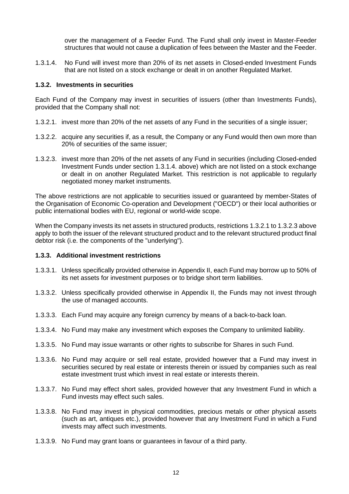over the management of a Feeder Fund. The Fund shall only invest in Master-Feeder structures that would not cause a duplication of fees between the Master and the Feeder.

1.3.1.4. No Fund will invest more than 20% of its net assets in Closed-ended Investment Funds that are not listed on a stock exchange or dealt in on another Regulated Market.

#### **1.3.2. Investments in securities**

Each Fund of the Company may invest in securities of issuers (other than Investments Funds), provided that the Company shall not:

- 1.3.2.1. invest more than 20% of the net assets of any Fund in the securities of a single issuer;
- 1.3.2.2. acquire any securities if, as a result, the Company or any Fund would then own more than 20% of securities of the same issuer;
- 1.3.2.3. invest more than 20% of the net assets of any Fund in securities (including Closed-ended Investment Funds under section 1.3.1.4. above) which are not listed on a stock exchange or dealt in on another Regulated Market. This restriction is not applicable to regularly negotiated money market instruments.

The above restrictions are not applicable to securities issued or guaranteed by member-States of the Organisation of Economic Co-operation and Development ("OECD") or their local authorities or public international bodies with EU, regional or world-wide scope.

When the Company invests its net assets in structured products, restrictions 1.3.2.1 to 1.3.2.3 above apply to both the issuer of the relevant structured product and to the relevant structured product final debtor risk (i.e. the components of the "underlying").

### **1.3.3. Additional investment restrictions**

- 1.3.3.1. Unless specifically provided otherwise in Appendix II, each Fund may borrow up to 50% of its net assets for investment purposes or to bridge short term liabilities.
- 1.3.3.2. Unless specifically provided otherwise in Appendix II, the Funds may not invest through the use of managed accounts.
- 1.3.3.3. Each Fund may acquire any foreign currency by means of a back-to-back loan.
- 1.3.3.4. No Fund may make any investment which exposes the Company to unlimited liability.
- 1.3.3.5. No Fund may issue warrants or other rights to subscribe for Shares in such Fund.
- 1.3.3.6. No Fund may acquire or sell real estate, provided however that a Fund may invest in securities secured by real estate or interests therein or issued by companies such as real estate investment trust which invest in real estate or interests therein.
- 1.3.3.7. No Fund may effect short sales, provided however that any Investment Fund in which a Fund invests may effect such sales.
- 1.3.3.8. No Fund may invest in physical commodities, precious metals or other physical assets (such as art, antiques etc.), provided however that any Investment Fund in which a Fund invests may affect such investments.
- 1.3.3.9. No Fund may grant loans or guarantees in favour of a third party.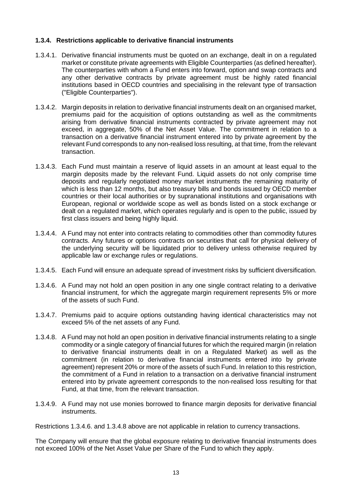### **1.3.4. Restrictions applicable to derivative financial instruments**

- 1.3.4.1. Derivative financial instruments must be quoted on an exchange, dealt in on a regulated market or constitute private agreements with Eligible Counterparties (as defined hereafter). The counterparties with whom a Fund enters into forward, option and swap contracts and any other derivative contracts by private agreement must be highly rated financial institutions based in OECD countries and specialising in the relevant type of transaction ("Eligible Counterparties").
- 1.3.4.2. Margin deposits in relation to derivative financial instruments dealt on an organised market, premiums paid for the acquisition of options outstanding as well as the commitments arising from derivative financial instruments contracted by private agreement may not exceed, in aggregate, 50% of the Net Asset Value. The commitment in relation to a transaction on a derivative financial instrument entered into by private agreement by the relevant Fund corresponds to any non-realised loss resulting, at that time, from the relevant transaction.
- 1.3.4.3. Each Fund must maintain a reserve of liquid assets in an amount at least equal to the margin deposits made by the relevant Fund. Liquid assets do not only comprise time deposits and regularly negotiated money market instruments the remaining maturity of which is less than 12 months, but also treasury bills and bonds issued by OECD member countries or their local authorities or by supranational institutions and organisations with European, regional or worldwide scope as well as bonds listed on a stock exchange or dealt on a regulated market, which operates regularly and is open to the public, issued by first class issuers and being highly liquid.
- 1.3.4.4. A Fund may not enter into contracts relating to commodities other than commodity futures contracts. Any futures or options contracts on securities that call for physical delivery of the underlying security will be liquidated prior to delivery unless otherwise required by applicable law or exchange rules or regulations.
- 1.3.4.5. Each Fund will ensure an adequate spread of investment risks by sufficient diversification.
- 1.3.4.6. A Fund may not hold an open position in any one single contract relating to a derivative financial instrument, for which the aggregate margin requirement represents 5% or more of the assets of such Fund.
- 1.3.4.7. Premiums paid to acquire options outstanding having identical characteristics may not exceed 5% of the net assets of any Fund.
- 1.3.4.8. A Fund may not hold an open position in derivative financial instruments relating to a single commodity or a single category of financial futures for which the required margin (in relation to derivative financial instruments dealt in on a Regulated Market) as well as the commitment (in relation to derivative financial instruments entered into by private agreement) represent 20% or more of the assets of such Fund. In relation to this restriction, the commitment of a Fund in relation to a transaction on a derivative financial instrument entered into by private agreement corresponds to the non-realised loss resulting for that Fund, at that time, from the relevant transaction.
- 1.3.4.9. A Fund may not use monies borrowed to finance margin deposits for derivative financial instruments.

Restrictions 1.3.4.6. and 1.3.4.8 above are not applicable in relation to currency transactions.

The Company will ensure that the global exposure relating to derivative financial instruments does not exceed 100% of the Net Asset Value per Share of the Fund to which they apply.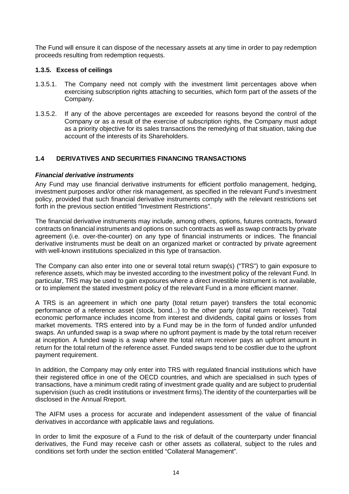The Fund will ensure it can dispose of the necessary assets at any time in order to pay redemption proceeds resulting from redemption requests.

#### **1.3.5. Excess of ceilings**

- 1.3.5.1. The Company need not comply with the investment limit percentages above when exercising subscription rights attaching to securities, which form part of the assets of the Company.
- 1.3.5.2. If any of the above percentages are exceeded for reasons beyond the control of the Company or as a result of the exercise of subscription rights, the Company must adopt as a priority objective for its sales transactions the remedying of that situation, taking due account of the interests of its Shareholders.

### **1.4 DERIVATIVES AND SECURITIES FINANCING TRANSACTIONS**

#### *Financial derivative instruments*

Any Fund may use financial derivative instruments for efficient portfolio management, hedging, investment purposes and/or other risk management, as specified in the relevant Fund's investment policy, provided that such financial derivative instruments comply with the relevant restrictions set forth in the previous section entitled "Investment Restrictions".

The financial derivative instruments may include, among others, options, futures contracts, forward contracts on financial instruments and options on such contracts as well as swap contracts by private agreement (i.e. over-the-counter) on any type of financial instruments or indices. The financial derivative instruments must be dealt on an organized market or contracted by private agreement with well-known institutions specialized in this type of transaction.

The Company can also enter into one or several total return swap(s) ("TRS") to gain exposure to reference assets, which may be invested according to the investment policy of the relevant Fund. In particular, TRS may be used to gain exposures where a direct investible instrument is not available, or to implement the stated investment policy of the relevant Fund in a more efficient manner.

A TRS is an agreement in which one party (total return payer) transfers the total economic performance of a reference asset (stock, bond...) to the other party (total return receiver). Total economic performance includes income from interest and dividends, capital gains or losses from market movements. TRS entered into by a Fund may be in the form of funded and/or unfunded swaps. An unfunded swap is a swap where no upfront payment is made by the total return receiver at inception. A funded swap is a swap where the total return receiver pays an upfront amount in return for the total return of the reference asset. Funded swaps tend to be costlier due to the upfront payment requirement.

In addition, the Company may only enter into TRS with regulated financial institutions which have their registered office in one of the OECD countries, and which are specialised in such types of transactions, have a minimum credit rating of investment grade quality and are subject to prudential supervision (such as credit institutions or investment firms).The identity of the counterparties will be disclosed in the Annual Rreport.

The AIFM uses a process for accurate and independent assessment of the value of financial derivatives in accordance with applicable laws and regulations.

In order to limit the exposure of a Fund to the risk of default of the counterparty under financial derivatives, the Fund may receive cash or other assets as collateral, subject to the rules and conditions set forth under the section entitled "Collateral Management".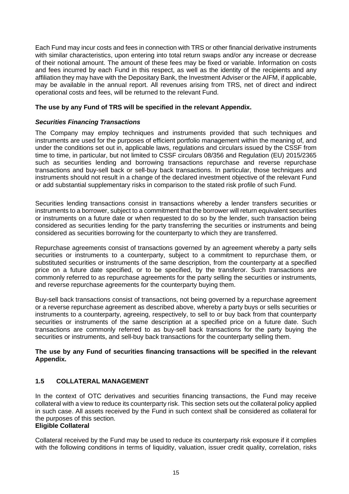Each Fund may incur costs and fees in connection with TRS or other financial derivative instruments with similar characteristics, upon entering into total return swaps and/or any increase or decrease of their notional amount. The amount of these fees may be fixed or variable. Information on costs and fees incurred by each Fund in this respect, as well as the identity of the recipients and any affiliation they may have with the Depositary Bank, the Investment Adviser or the AIFM, if applicable, may be available in the annual report. All revenues arising from TRS, net of direct and indirect operational costs and fees, will be returned to the relevant Fund.

### **The use by any Fund of TRS will be specified in the relevant Appendix.**

#### *Securities Financing Transactions*

The Company may employ techniques and instruments provided that such techniques and instruments are used for the purposes of efficient portfolio management within the meaning of, and under the conditions set out in, applicable laws, regulations and circulars issued by the CSSF from time to time, in particular, but not limited to CSSF circulars 08/356 and Regulation (EU) 2015/2365 such as securities lending and borrowing transactions repurchase and reverse repurchase transactions and buy-sell back or sell-buy back transactions. In particular, those techniques and instruments should not result in a change of the declared investment objective of the relevant Fund or add substantial supplementary risks in comparison to the stated risk profile of such Fund.

Securities lending transactions consist in transactions whereby a lender transfers securities or instruments to a borrower, subject to a commitment that the borrower will return equivalent securities or instruments on a future date or when requested to do so by the lender, such transaction being considered as securities lending for the party transferring the securities or instruments and being considered as securities borrowing for the counterparty to which they are transferred.

Repurchase agreements consist of transactions governed by an agreement whereby a party sells securities or instruments to a counterparty, subject to a commitment to repurchase them, or substituted securities or instruments of the same description, from the counterparty at a specified price on a future date specified, or to be specified, by the transferor. Such transactions are commonly referred to as repurchase agreements for the party selling the securities or instruments, and reverse repurchase agreements for the counterparty buying them.

Buy-sell back transactions consist of transactions, not being governed by a repurchase agreement or a reverse repurchase agreement as described above, whereby a party buys or sells securities or instruments to a counterparty, agreeing, respectively, to sell to or buy back from that counterparty securities or instruments of the same description at a specified price on a future date. Such transactions are commonly referred to as buy-sell back transactions for the party buying the securities or instruments, and sell-buy back transactions for the counterparty selling them.

### **The use by any Fund of securities financing transactions will be specified in the relevant Appendix.**

### **1.5 COLLATERAL MANAGEMENT**

In the context of OTC derivatives and securities financing transactions, the Fund may receive collateral with a view to reduce its counterparty risk. This section sets out the collateral policy applied in such case. All assets received by the Fund in such context shall be considered as collateral for the purposes of this section.

### **Eligible Collateral**

Collateral received by the Fund may be used to reduce its counterparty risk exposure if it complies with the following conditions in terms of liquidity, valuation, issuer credit quality, correlation, risks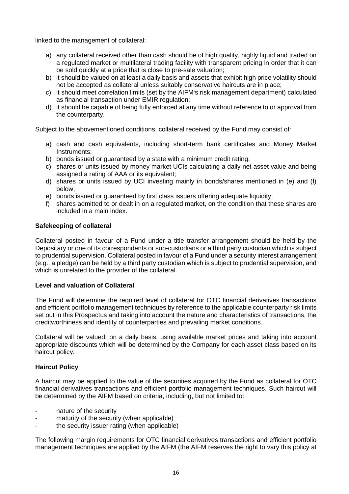linked to the management of collateral:

- a) any collateral received other than cash should be of high quality, highly liquid and traded on a regulated market or multilateral trading facility with transparent pricing in order that it can be sold quickly at a price that is close to pre-sale valuation;
- b) it should be valued on at least a daily basis and assets that exhibit high price volatility should not be accepted as collateral unless suitably conservative haircuts are in place;
- c) it should meet correlation limits (set by the AIFM's risk management department) calculated as financial transaction under EMIR regulation;
- d) it should be capable of being fully enforced at any time without reference to or approval from the counterparty.

Subject to the abovementioned conditions, collateral received by the Fund may consist of:

- a) cash and cash equivalents, including short-term bank certificates and Money Market Instruments;
- b) bonds issued or guaranteed by a state with a minimum credit rating;
- c) shares or units issued by money market UCIs calculating a daily net asset value and being assigned a rating of AAA or its equivalent;
- d) shares or units issued by UCI investing mainly in bonds/shares mentioned in (e) and (f) below;
- e) bonds issued or guaranteed by first class issuers offering adequate liquidity;
- f) shares admitted to or dealt in on a regulated market, on the condition that these shares are included in a main index.

#### **Safekeeping of collateral**

Collateral posted in favour of a Fund under a title transfer arrangement should be held by the Depositary or one of its correspondents or sub-custodians or a third party custodian which is subject to prudential supervision. Collateral posted in favour of a Fund under a security interest arrangement (e.g., a pledge) can be held by a third party custodian which is subject to prudential supervision, and which is unrelated to the provider of the collateral.

#### **Level and valuation of Collateral**

The Fund will determine the required level of collateral for OTC financial derivatives transactions and efficient portfolio management techniques by reference to the applicable counterparty risk limits set out in this Prospectus and taking into account the nature and characteristics of transactions, the creditworthiness and identity of counterparties and prevailing market conditions.

Collateral will be valued, on a daily basis, using available market prices and taking into account appropriate discounts which will be determined by the Company for each asset class based on its haircut policy.

### **Haircut Policy**

A haircut may be applied to the value of the securities acquired by the Fund as collateral for OTC financial derivatives transactions and efficient portfolio management techniques. Such haircut will be determined by the AIFM based on criteria, including, but not limited to:

- nature of the security
- maturity of the security (when applicable)
- the security issuer rating (when applicable)

The following margin requirements for OTC financial derivatives transactions and efficient portfolio management techniques are applied by the AIFM (the AIFM reserves the right to vary this policy at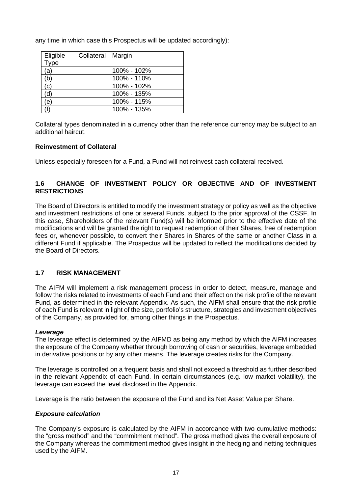any time in which case this Prospectus will be updated accordingly):

| Eligible   | Collateral   Margin |             |
|------------|---------------------|-------------|
| Type       |                     |             |
| 'a)        |                     | 100% - 102% |
| 'b)        |                     | 100% - 110% |
| C)         |                     | 100% - 102% |
| ď          |                     | 100% - 135% |
| $\epsilon$ |                     | 100% - 115% |
|            |                     | 100% - 135% |

Collateral types denominated in a currency other than the reference currency may be subject to an additional haircut.

### **Reinvestment of Collateral**

Unless especially foreseen for a Fund, a Fund will not reinvest cash collateral received.

## **1.6 CHANGE OF INVESTMENT POLICY OR OBJECTIVE AND OF INVESTMENT RESTRICTIONS**

The Board of Directors is entitled to modify the investment strategy or policy as well as the objective and investment restrictions of one or several Funds, subject to the prior approval of the CSSF. In this case, Shareholders of the relevant Fund(s) will be informed prior to the effective date of the modifications and will be granted the right to request redemption of their Shares, free of redemption fees or, whenever possible, to convert their Shares in Shares of the same or another Class in a different Fund if applicable. The Prospectus will be updated to reflect the modifications decided by the Board of Directors.

### **1.7 RISK MANAGEMENT**

The AIFM will implement a risk management process in order to detect, measure, manage and follow the risks related to investments of each Fund and their effect on the risk profile of the relevant Fund, as determined in the relevant Appendix. As such, the AIFM shall ensure that the risk profile of each Fund is relevant in light of the size, portfolio's structure, strategies and investment objectives of the Company, as provided for, among other things in the Prospectus.

### *Leverage*

The leverage effect is determined by the AIFMD as being any method by which the AIFM increases the exposure of the Company whether through borrowing of cash or securities, leverage embedded in derivative positions or by any other means. The leverage creates risks for the Company.

The leverage is controlled on a frequent basis and shall not exceed a threshold as further described in the relevant Appendix of each Fund. In certain circumstances (e.g. low market volatility), the leverage can exceed the level disclosed in the Appendix.

Leverage is the ratio between the exposure of the Fund and its Net Asset Value per Share.

### *Exposure calculation*

The Company's exposure is calculated by the AIFM in accordance with two cumulative methods: the "gross method" and the "commitment method". The gross method gives the overall exposure of the Company whereas the commitment method gives insight in the hedging and netting techniques used by the AIFM.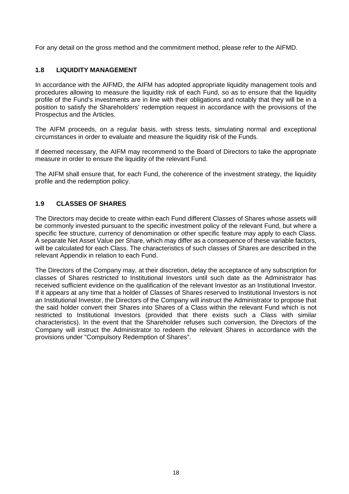For any detail on the gross method and the commitment method, please refer to the AIFMD.

## **1.8 LIQUIDITY MANAGEMENT**

In accordance with the AIFMD, the AIFM has adopted appropriate liquidity management tools and procedures allowing to measure the liquidity risk of each Fund, so as to ensure that the liquidity profile of the Fund's investments are in line with their obligations and notably that they will be in a position to satisfy the Shareholders' redemption request in accordance with the provisions of the Prospectus and the Articles.

The AIFM proceeds, on a regular basis, with stress tests, simulating normal and exceptional circumstances in order to evaluate and measure the liquidity risk of the Funds.

If deemed necessary, the AIFM may recommend to the Board of Directors to take the appropriate measure in order to ensure the liquidity of the relevant Fund.

The AIFM shall ensure that, for each Fund, the coherence of the investment strategy, the liquidity profile and the redemption policy.

## **1.9 CLASSES OF SHARES**

The Directors may decide to create within each Fund different Classes of Shares whose assets will be commonly invested pursuant to the specific investment policy of the relevant Fund, but where a specific fee structure, currency of denomination or other specific feature may apply to each Class. A separate Net Asset Value per Share, which may differ as a consequence of these variable factors, will be calculated for each Class. The characteristics of such classes of Shares are described in the relevant Appendix in relation to each Fund.

The Directors of the Company may, at their discretion, delay the acceptance of any subscription for classes of Shares restricted to Institutional Investors until such date as the Administrator has received sufficient evidence on the qualification of the relevant Investor as an Institutional Investor. If it appears at any time that a holder of Classes of Shares reserved to Institutional Investors is not an Institutional Investor, the Directors of the Company will instruct the Administrator to propose that the said holder convert their Shares into Shares of a Class within the relevant Fund which is not restricted to Institutional Investors (provided that there exists such a Class with similar characteristics). In the event that the Shareholder refuses such conversion, the Directors of the Company will instruct the Administrator to redeem the relevant Shares in accordance with the provisions under "Compulsory Redemption of Shares".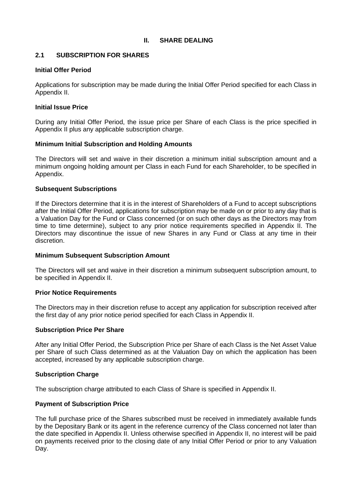### **II. SHARE DEALING**

### **2.1 SUBSCRIPTION FOR SHARES**

#### **Initial Offer Period**

Applications for subscription may be made during the Initial Offer Period specified for each Class in Appendix II.

#### **Initial Issue Price**

During any Initial Offer Period, the issue price per Share of each Class is the price specified in Appendix II plus any applicable subscription charge.

#### **Minimum Initial Subscription and Holding Amounts**

The Directors will set and waive in their discretion a minimum initial subscription amount and a minimum ongoing holding amount per Class in each Fund for each Shareholder, to be specified in Appendix.

#### **Subsequent Subscriptions**

If the Directors determine that it is in the interest of Shareholders of a Fund to accept subscriptions after the Initial Offer Period, applications for subscription may be made on or prior to any day that is a Valuation Day for the Fund or Class concerned (or on such other days as the Directors may from time to time determine), subject to any prior notice requirements specified in Appendix II. The Directors may discontinue the issue of new Shares in any Fund or Class at any time in their discretion.

### **Minimum Subsequent Subscription Amount**

The Directors will set and waive in their discretion a minimum subsequent subscription amount, to be specified in Appendix II.

### **Prior Notice Requirements**

The Directors may in their discretion refuse to accept any application for subscription received after the first day of any prior notice period specified for each Class in Appendix II.

#### **Subscription Price Per Share**

After any Initial Offer Period, the Subscription Price per Share of each Class is the Net Asset Value per Share of such Class determined as at the Valuation Day on which the application has been accepted, increased by any applicable subscription charge.

#### **Subscription Charge**

The subscription charge attributed to each Class of Share is specified in Appendix II.

### **Payment of Subscription Price**

The full purchase price of the Shares subscribed must be received in immediately available funds by the Depositary Bank or its agent in the reference currency of the Class concerned not later than the date specified in Appendix II. Unless otherwise specified in Appendix II, no interest will be paid on payments received prior to the closing date of any Initial Offer Period or prior to any Valuation Day.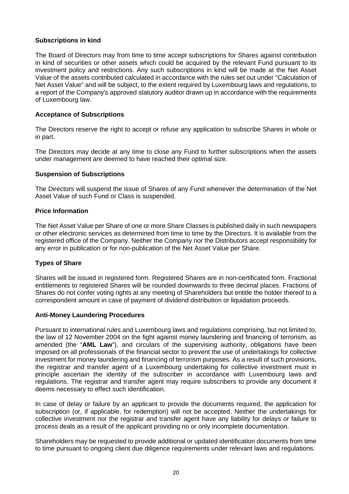### **Subscriptions in kind**

The Board of Directors may from time to time accept subscriptions for Shares against contribution in kind of securities or other assets which could be acquired by the relevant Fund pursuant to its investment policy and restrictions. Any such subscriptions in kind will be made at the Net Asset Value of the assets contributed calculated in accordance with the rules set out under "Calculation of Net Asset Value" and will be subject, to the extent required by Luxembourg laws and regulations, to a report of the Company's approved statutory auditor drawn up in accordance with the requirements of Luxembourg law.

### **Acceptance of Subscriptions**

The Directors reserve the right to accept or refuse any application to subscribe Shares in whole or in part.

The Directors may decide at any time to close any Fund to further subscriptions when the assets under management are deemed to have reached their optimal size.

### **Suspension of Subscriptions**

The Directors will suspend the issue of Shares of any Fund whenever the determination of the Net Asset Value of such Fund or Class is suspended.

### **Price Information**

The Net Asset Value per Share of one or more Share Classes is published daily in such newspapers or other electronic services as determined from time to time by the Directors. It is available from the registered office of the Company. Neither the Company nor the Distributors accept responsibility for any error in publication or for non-publication of the Net Asset Value per Share.

### **Types of Share**

Shares will be issued in registered form. Registered Shares are in non-certificated form. Fractional entitlements to registered Shares will be rounded downwards to three decimal places. Fractions of Shares do not confer voting rights at any meeting of Shareholders but entitle the holder thereof to a correspondent amount in case of payment of dividend distribution or liquidation proceeds.

#### **Anti-Money Laundering Procedures**

Pursuant to international rules and Luxembourg laws and regulations comprising, but not limited to, the law of 12 November 2004 on the fight against money laundering and financing of terrorism, as amended (the "**AML Law**"), and circulars of the supervising authority, obligations have been imposed on all professionals of the financial sector to prevent the use of undertakings for collective investment for money laundering and financing of terrorism purposes. As a result of such provisions, the registrar and transfer agent of a Luxembourg undertaking for collective investment must in principle ascertain the identity of the subscriber in accordance with Luxembourg laws and regulations. The registrar and transfer agent may require subscribers to provide any document it deems necessary to effect such identification.

In case of delay or failure by an applicant to provide the documents required, the application for subscription (or, if applicable, for redemption) will not be accepted. Neither the undertakings for collective investment nor the registrar and transfer agent have any liability for delays or failure to process deals as a result of the applicant providing no or only incomplete documentation.

Shareholders may be requested to provide additional or updated identification documents from time to time pursuant to ongoing client due diligence requirements under relevant laws and regulations.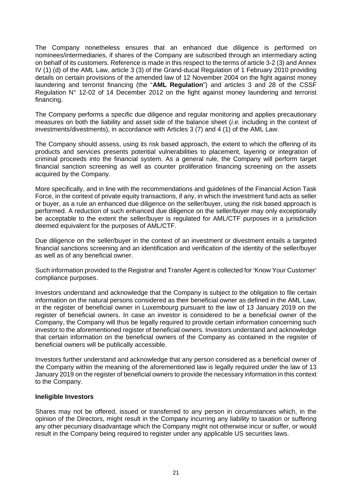The Company nonetheless ensures that an enhanced due diligence is performed on nominees/intermediaries, if shares of the Company are subscribed through an intermediary acting on behalf of its customers. Reference is made in this respect to the terms of article 3-2 (3) and Annex IV (1) (d) of the AML Law, article 3 (3) of the Grand-ducal Regulation of 1 February 2010 providing details on certain provisions of the amended law of 12 November 2004 on the fight against money laundering and terrorist financing (the "**AML Regulation**") and articles 3 and 28 of the CSSF Regulation N° 12-02 of 14 December 2012 on the fight against money laundering and terrorist financing.

The Company performs a specific due diligence and regular monitoring and applies precautionary measures on both the liability and asset side of the balance sheet (*i.e.* including in the context of investments/divestments), in accordance with Articles 3 (7) and 4 (1) of the AML Law.

The Company should assess, using its risk based approach, the extent to which the offering of its products and services presents potential vulnerabilities to placement, layering or integration of criminal proceeds into the financial system. As a general rule, the Company will perform target financial sanction screening as well as counter proliferation financing screening on the assets acquired by the Company.

More specifically, and in line with the recommendations and guidelines of the Financial Action Task Force, in the context of private equity transactions, if any, in which the investment fund acts as seller or buyer, as a rule an enhanced due diligence on the seller/buyer, using the risk based approach is performed. A reduction of such enhanced due diligence on the seller/buyer may only exceptionally be acceptable to the extent the seller/buyer is regulated for AML/CTF purposes in a jurisdiction deemed equivalent for the purposes of AML/CTF.

Due diligence on the seller/buyer in the context of an investment or divestment entails a targeted financial sanctions screening and an identification and verification of the identity of the seller/buyer as well as of any beneficial owner.

Such information provided to the Registrar and Transfer Agent is collected for 'Know Your Customer' compliance purposes.

Investors understand and acknowledge that the Company is subject to the obligation to file certain information on the natural persons considered as their beneficial owner as defined in the AML Law, in the register of beneficial owner in Luxembourg pursuant to the law of 13 January 2019 on the register of beneficial owners. In case an investor is considered to be a beneficial owner of the Company, the Company will thus be legally required to provide certain information concerning such investor to the aforementioned register of beneficial owners. Investors understand and acknowledge that certain information on the beneficial owners of the Company as contained in the register of beneficial owners will be publically accessible.

Investors further understand and acknowledge that any person considered as a beneficial owner of the Company within the meaning of the aforementioned law is legally required under the law of 13 January 2019 on the register of beneficial owners to provide the necessary information in this context to the Company.

#### **Ineligible Investors**

Shares may not be offered, issued or transferred to any person in circumstances which, in the opinion of the Directors, might result in the Company incurring any liability to taxation or suffering any other pecuniary disadvantage which the Company might not otherwise incur or suffer, or would result in the Company being required to register under any applicable US securities laws.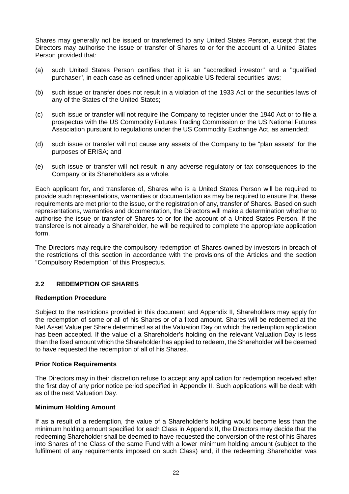Shares may generally not be issued or transferred to any United States Person, except that the Directors may authorise the issue or transfer of Shares to or for the account of a United States Person provided that:

- (a) such United States Person certifies that it is an "accredited investor" and a "qualified purchaser", in each case as defined under applicable US federal securities laws;
- (b) such issue or transfer does not result in a violation of the 1933 Act or the securities laws of any of the States of the United States;
- (c) such issue or transfer will not require the Company to register under the 1940 Act or to file a prospectus with the US Commodity Futures Trading Commission or the US National Futures Association pursuant to regulations under the US Commodity Exchange Act, as amended;
- (d) such issue or transfer will not cause any assets of the Company to be "plan assets" for the purposes of ERISA; and
- (e) such issue or transfer will not result in any adverse regulatory or tax consequences to the Company or its Shareholders as a whole.

Each applicant for, and transferee of, Shares who is a United States Person will be required to provide such representations, warranties or documentation as may be required to ensure that these requirements are met prior to the issue, or the registration of any, transfer of Shares. Based on such representations, warranties and documentation, the Directors will make a determination whether to authorise the issue or transfer of Shares to or for the account of a United States Person. If the transferee is not already a Shareholder, he will be required to complete the appropriate application form.

The Directors may require the compulsory redemption of Shares owned by investors in breach of the restrictions of this section in accordance with the provisions of the Articles and the section "Compulsory Redemption" of this Prospectus.

### **2.2 REDEMPTION OF SHARES**

#### **Redemption Procedure**

Subject to the restrictions provided in this document and Appendix II, Shareholders may apply for the redemption of some or all of his Shares or of a fixed amount. Shares will be redeemed at the Net Asset Value per Share determined as at the Valuation Day on which the redemption application has been accepted. If the value of a Shareholder's holding on the relevant Valuation Day is less than the fixed amount which the Shareholder has applied to redeem, the Shareholder will be deemed to have requested the redemption of all of his Shares.

### **Prior Notice Requirements**

The Directors may in their discretion refuse to accept any application for redemption received after the first day of any prior notice period specified in Appendix II. Such applications will be dealt with as of the next Valuation Day.

#### **Minimum Holding Amount**

If as a result of a redemption, the value of a Shareholder's holding would become less than the minimum holding amount specified for each Class in Appendix II, the Directors may decide that the redeeming Shareholder shall be deemed to have requested the conversion of the rest of his Shares into Shares of the Class of the same Fund with a lower minimum holding amount (subject to the fulfilment of any requirements imposed on such Class) and, if the redeeming Shareholder was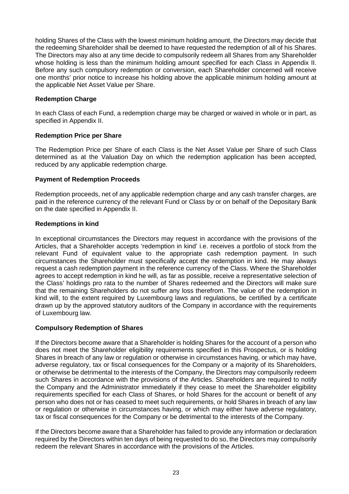holding Shares of the Class with the lowest minimum holding amount, the Directors may decide that the redeeming Shareholder shall be deemed to have requested the redemption of all of his Shares. The Directors may also at any time decide to compulsorily redeem all Shares from any Shareholder whose holding is less than the minimum holding amount specified for each Class in Appendix II. Before any such compulsory redemption or conversion, each Shareholder concerned will receive one months' prior notice to increase his holding above the applicable minimum holding amount at the applicable Net Asset Value per Share.

### **Redemption Charge**

In each Class of each Fund, a redemption charge may be charged or waived in whole or in part, as specified in Appendix II.

### **Redemption Price per Share**

The Redemption Price per Share of each Class is the Net Asset Value per Share of such Class determined as at the Valuation Day on which the redemption application has been accepted, reduced by any applicable redemption charge.

### **Payment of Redemption Proceeds**

Redemption proceeds, net of any applicable redemption charge and any cash transfer charges, are paid in the reference currency of the relevant Fund or Class by or on behalf of the Depositary Bank on the date specified in Appendix II.

### **Redemptions in kind**

In exceptional circumstances the Directors may request in accordance with the provisions of the Articles, that a Shareholder accepts 'redemption in kind' i.e. receives a portfolio of stock from the relevant Fund of equivalent value to the appropriate cash redemption payment. In such circumstances the Shareholder must specifically accept the redemption in kind. He may always request a cash redemption payment in the reference currency of the Class. Where the Shareholder agrees to accept redemption in kind he will, as far as possible, receive a representative selection of the Class' holdings pro rata to the number of Shares redeemed and the Directors will make sure that the remaining Shareholders do not suffer any loss therefrom. The value of the redemption in kind will, to the extent required by Luxembourg laws and regulations, be certified by a certificate drawn up by the approved statutory auditors of the Company in accordance with the requirements of Luxembourg law.

### **Compulsory Redemption of Shares**

If the Directors become aware that a Shareholder is holding Shares for the account of a person who does not meet the Shareholder eligibility requirements specified in this Prospectus, or is holding Shares in breach of any law or regulation or otherwise in circumstances having, or which may have, adverse regulatory, tax or fiscal consequences for the Company or a majority of its Shareholders, or otherwise be detrimental to the interests of the Company, the Directors may compulsorily redeem such Shares in accordance with the provisions of the Articles. Shareholders are required to notify the Company and the Administrator immediately if they cease to meet the Shareholder eligibility requirements specified for each Class of Shares, or hold Shares for the account or benefit of any person who does not or has ceased to meet such requirements, or hold Shares in breach of any law or regulation or otherwise in circumstances having, or which may either have adverse regulatory, tax or fiscal consequences for the Company or be detrimental to the interests of the Company.

If the Directors become aware that a Shareholder has failed to provide any information or declaration required by the Directors within ten days of being requested to do so, the Directors may compulsorily redeem the relevant Shares in accordance with the provisions of the Articles.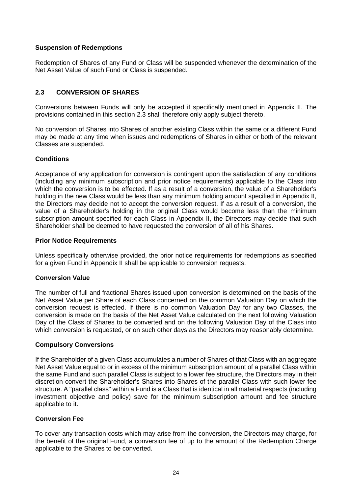### **Suspension of Redemptions**

Redemption of Shares of any Fund or Class will be suspended whenever the determination of the Net Asset Value of such Fund or Class is suspended.

## **2.3 CONVERSION OF SHARES**

Conversions between Funds will only be accepted if specifically mentioned in Appendix II. The provisions contained in this section 2.3 shall therefore only apply subject thereto.

No conversion of Shares into Shares of another existing Class within the same or a different Fund may be made at any time when issues and redemptions of Shares in either or both of the relevant Classes are suspended.

### **Conditions**

Acceptance of any application for conversion is contingent upon the satisfaction of any conditions (including any minimum subscription and prior notice requirements) applicable to the Class into which the conversion is to be effected. If as a result of a conversion, the value of a Shareholder's holding in the new Class would be less than any minimum holding amount specified in Appendix II, the Directors may decide not to accept the conversion request. If as a result of a conversion, the value of a Shareholder's holding in the original Class would become less than the minimum subscription amount specified for each Class in Appendix II, the Directors may decide that such Shareholder shall be deemed to have requested the conversion of all of his Shares.

#### **Prior Notice Requirements**

Unless specifically otherwise provided, the prior notice requirements for redemptions as specified for a given Fund in Appendix II shall be applicable to conversion requests.

#### **Conversion Value**

The number of full and fractional Shares issued upon conversion is determined on the basis of the Net Asset Value per Share of each Class concerned on the common Valuation Day on which the conversion request is effected. If there is no common Valuation Day for any two Classes, the conversion is made on the basis of the Net Asset Value calculated on the next following Valuation Day of the Class of Shares to be converted and on the following Valuation Day of the Class into which conversion is requested, or on such other days as the Directors may reasonably determine.

#### **Compulsory Conversions**

If the Shareholder of a given Class accumulates a number of Shares of that Class with an aggregate Net Asset Value equal to or in excess of the minimum subscription amount of a parallel Class within the same Fund and such parallel Class is subject to a lower fee structure, the Directors may in their discretion convert the Shareholder's Shares into Shares of the parallel Class with such lower fee structure. A "parallel class" within a Fund is a Class that is identical in all material respects (including investment objective and policy) save for the minimum subscription amount and fee structure applicable to it.

### **Conversion Fee**

To cover any transaction costs which may arise from the conversion, the Directors may charge, for the benefit of the original Fund, a conversion fee of up to the amount of the Redemption Charge applicable to the Shares to be converted.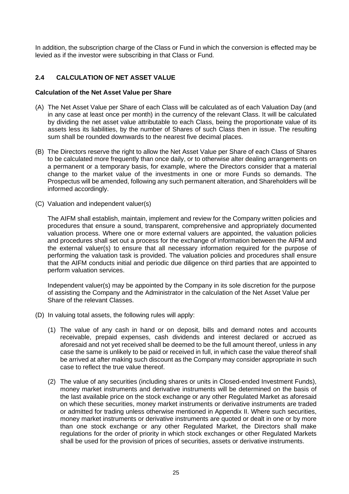In addition, the subscription charge of the Class or Fund in which the conversion is effected may be levied as if the investor were subscribing in that Class or Fund.

## **2.4 CALCULATION OF NET ASSET VALUE**

#### **Calculation of the Net Asset Value per Share**

- (A) The Net Asset Value per Share of each Class will be calculated as of each Valuation Day (and in any case at least once per month) in the currency of the relevant Class. It will be calculated by dividing the net asset value attributable to each Class, being the proportionate value of its assets less its liabilities, by the number of Shares of such Class then in issue. The resulting sum shall be rounded downwards to the nearest five decimal places.
- (B) The Directors reserve the right to allow the Net Asset Value per Share of each Class of Shares to be calculated more frequently than once daily, or to otherwise alter dealing arrangements on a permanent or a temporary basis, for example, where the Directors consider that a material change to the market value of the investments in one or more Funds so demands. The Prospectus will be amended, following any such permanent alteration, and Shareholders will be informed accordingly.
- (C) Valuation and independent valuer(s)

The AIFM shall establish, maintain, implement and review for the Company written policies and procedures that ensure a sound, transparent, comprehensive and appropriately documented valuation process. Where one or more external valuers are appointed, the valuation policies and procedures shall set out a process for the exchange of information between the AIFM and the external valuer(s) to ensure that all necessary information required for the purpose of performing the valuation task is provided. The valuation policies and procedures shall ensure that the AIFM conducts initial and periodic due diligence on third parties that are appointed to perform valuation services.

Independent valuer(s) may be appointed by the Company in its sole discretion for the purpose of assisting the Company and the Administrator in the calculation of the Net Asset Value per Share of the relevant Classes.

- (D) In valuing total assets, the following rules will apply:
	- (1) The value of any cash in hand or on deposit, bills and demand notes and accounts receivable, prepaid expenses, cash dividends and interest declared or accrued as aforesaid and not yet received shall be deemed to be the full amount thereof, unless in any case the same is unlikely to be paid or received in full, in which case the value thereof shall be arrived at after making such discount as the Company may consider appropriate in such case to reflect the true value thereof.
	- (2) The value of any securities (including shares or units in Closed-ended Investment Funds), money market instruments and derivative instruments will be determined on the basis of the last available price on the stock exchange or any other Regulated Market as aforesaid on which these securities, money market instruments or derivative instruments are traded or admitted for trading unless otherwise mentioned in Appendix II. Where such securities, money market instruments or derivative instruments are quoted or dealt in one or by more than one stock exchange or any other Regulated Market, the Directors shall make regulations for the order of priority in which stock exchanges or other Regulated Markets shall be used for the provision of prices of securities, assets or derivative instruments.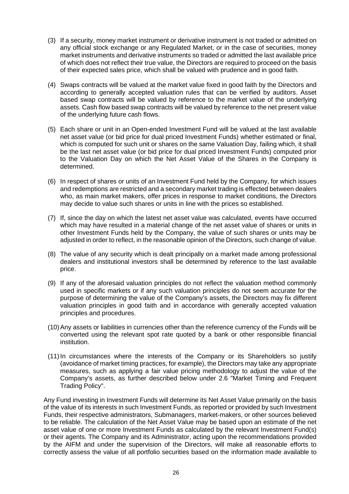- (3) If a security, money market instrument or derivative instrument is not traded or admitted on any official stock exchange or any Regulated Market, or in the case of securities, money market instruments and derivative instruments so traded or admitted the last available price of which does not reflect their true value, the Directors are required to proceed on the basis of their expected sales price, which shall be valued with prudence and in good faith.
- (4) Swaps contracts will be valued at the market value fixed in good faith by the Directors and according to generally accepted valuation rules that can be verified by auditors. Asset based swap contracts will be valued by reference to the market value of the underlying assets. Cash flow based swap contracts will be valued by reference to the net present value of the underlying future cash flows.
- (5) Each share or unit in an Open-ended Investment Fund will be valued at the last available net asset value (or bid price for dual priced Investment Funds) whether estimated or final, which is computed for such unit or shares on the same Valuation Day, failing which, it shall be the last net asset value (or bid price for dual priced Investment Funds) computed prior to the Valuation Day on which the Net Asset Value of the Shares in the Company is determined.
- (6) In respect of shares or units of an Investment Fund held by the Company, for which issues and redemptions are restricted and a secondary market trading is effected between dealers who, as main market makers, offer prices in response to market conditions, the Directors may decide to value such shares or units in line with the prices so established.
- (7) If, since the day on which the latest net asset value was calculated, events have occurred which may have resulted in a material change of the net asset value of shares or units in other Investment Funds held by the Company, the value of such shares or units may be adjusted in order to reflect, in the reasonable opinion of the Directors, such change of value.
- (8) The value of any security which is dealt principally on a market made among professional dealers and institutional investors shall be determined by reference to the last available price.
- (9) If any of the aforesaid valuation principles do not reflect the valuation method commonly used in specific markets or if any such valuation principles do not seem accurate for the purpose of determining the value of the Company's assets, the Directors may fix different valuation principles in good faith and in accordance with generally accepted valuation principles and procedures.
- (10) Any assets or liabilities in currencies other than the reference currency of the Funds will be converted using the relevant spot rate quoted by a bank or other responsible financial institution.
- (11) In circumstances where the interests of the Company or its Shareholders so justify (avoidance of market timing practices, for example), the Directors may take any appropriate measures, such as applying a fair value pricing methodology to adjust the value of the Company's assets, as further described below under 2.6 "Market Timing and Frequent Trading Policy".

Any Fund investing in Investment Funds will determine its Net Asset Value primarily on the basis of the value of its interests in such Investment Funds, as reported or provided by such Investment Funds, their respective administrators, Submanagers, market-makers, or other sources believed to be reliable. The calculation of the Net Asset Value may be based upon an estimate of the net asset value of one or more Investment Funds as calculated by the relevant Investment Fund(s) or their agents. The Company and its Administrator, acting upon the recommendations provided by the AIFM and under the supervision of the Directors, will make all reasonable efforts to correctly assess the value of all portfolio securities based on the information made available to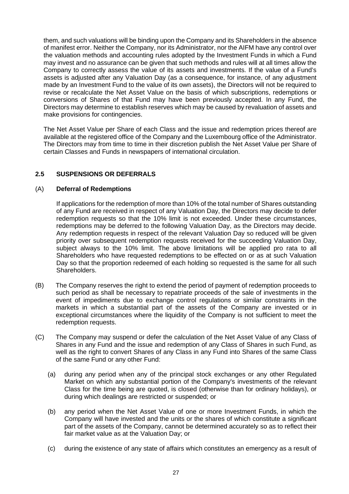them, and such valuations will be binding upon the Company and its Shareholders in the absence of manifest error. Neither the Company, nor its Administrator, nor the AIFM have any control over the valuation methods and accounting rules adopted by the Investment Funds in which a Fund may invest and no assurance can be given that such methods and rules will at all times allow the Company to correctly assess the value of its assets and investments. If the value of a Fund's assets is adjusted after any Valuation Day (as a consequence, for instance, of any adjustment made by an Investment Fund to the value of its own assets), the Directors will not be required to revise or recalculate the Net Asset Value on the basis of which subscriptions, redemptions or conversions of Shares of that Fund may have been previously accepted. In any Fund, the Directors may determine to establish reserves which may be caused by revaluation of assets and make provisions for contingencies.

The Net Asset Value per Share of each Class and the issue and redemption prices thereof are available at the registered office of the Company and the Luxembourg office of the Administrator. The Directors may from time to time in their discretion publish the Net Asset Value per Share of certain Classes and Funds in newspapers of international circulation.

## **2.5 SUSPENSIONS OR DEFERRALS**

### (A) **Deferral of Redemptions**

If applications for the redemption of more than 10% of the total number of Shares outstanding of any Fund are received in respect of any Valuation Day, the Directors may decide to defer redemption requests so that the 10% limit is not exceeded. Under these circumstances, redemptions may be deferred to the following Valuation Day, as the Directors may decide. Any redemption requests in respect of the relevant Valuation Day so reduced will be given priority over subsequent redemption requests received for the succeeding Valuation Day, subject always to the 10% limit. The above limitations will be applied pro rata to all Shareholders who have requested redemptions to be effected on or as at such Valuation Day so that the proportion redeemed of each holding so requested is the same for all such Shareholders.

- (B) The Company reserves the right to extend the period of payment of redemption proceeds to such period as shall be necessary to repatriate proceeds of the sale of investments in the event of impediments due to exchange control regulations or similar constraints in the markets in which a substantial part of the assets of the Company are invested or in exceptional circumstances where the liquidity of the Company is not sufficient to meet the redemption requests.
- (C) The Company may suspend or defer the calculation of the Net Asset Value of any Class of Shares in any Fund and the issue and redemption of any Class of Shares in such Fund, as well as the right to convert Shares of any Class in any Fund into Shares of the same Class of the same Fund or any other Fund:
	- (a) during any period when any of the principal stock exchanges or any other Regulated Market on which any substantial portion of the Company's investments of the relevant Class for the time being are quoted, is closed (otherwise than for ordinary holidays), or during which dealings are restricted or suspended; or
	- (b) any period when the Net Asset Value of one or more Investment Funds, in which the Company will have invested and the units or the shares of which constitute a significant part of the assets of the Company, cannot be determined accurately so as to reflect their fair market value as at the Valuation Day; or
	- (c) during the existence of any state of affairs which constitutes an emergency as a result of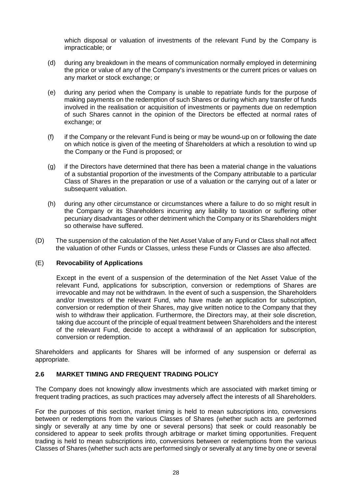which disposal or valuation of investments of the relevant Fund by the Company is impracticable; or

- (d) during any breakdown in the means of communication normally employed in determining the price or value of any of the Company's investments or the current prices or values on any market or stock exchange; or
- (e) during any period when the Company is unable to repatriate funds for the purpose of making payments on the redemption of such Shares or during which any transfer of funds involved in the realisation or acquisition of investments or payments due on redemption of such Shares cannot in the opinion of the Directors be effected at normal rates of exchange; or
- (f) if the Company or the relevant Fund is being or may be wound-up on or following the date on which notice is given of the meeting of Shareholders at which a resolution to wind up the Company or the Fund is proposed; or
- (g) if the Directors have determined that there has been a material change in the valuations of a substantial proportion of the investments of the Company attributable to a particular Class of Shares in the preparation or use of a valuation or the carrying out of a later or subsequent valuation.
- (h) during any other circumstance or circumstances where a failure to do so might result in the Company or its Shareholders incurring any liability to taxation or suffering other pecuniary disadvantages or other detriment which the Company or its Shareholders might so otherwise have suffered.
- (D) The suspension of the calculation of the Net Asset Value of any Fund or Class shall not affect the valuation of other Funds or Classes, unless these Funds or Classes are also affected.

### (E) **Revocability of Applications**

Except in the event of a suspension of the determination of the Net Asset Value of the relevant Fund, applications for subscription, conversion or redemptions of Shares are irrevocable and may not be withdrawn. In the event of such a suspension, the Shareholders and/or Investors of the relevant Fund, who have made an application for subscription, conversion or redemption of their Shares, may give written notice to the Company that they wish to withdraw their application. Furthermore, the Directors may, at their sole discretion, taking due account of the principle of equal treatment between Shareholders and the interest of the relevant Fund, decide to accept a withdrawal of an application for subscription, conversion or redemption.

Shareholders and applicants for Shares will be informed of any suspension or deferral as appropriate.

### **2.6 MARKET TIMING AND FREQUENT TRADING POLICY**

The Company does not knowingly allow investments which are associated with market timing or frequent trading practices, as such practices may adversely affect the interests of all Shareholders.

For the purposes of this section, market timing is held to mean subscriptions into, conversions between or redemptions from the various Classes of Shares (whether such acts are performed singly or severally at any time by one or several persons) that seek or could reasonably be considered to appear to seek profits through arbitrage or market timing opportunities. Frequent trading is held to mean subscriptions into, conversions between or redemptions from the various Classes of Shares (whether such acts are performed singly or severally at any time by one or several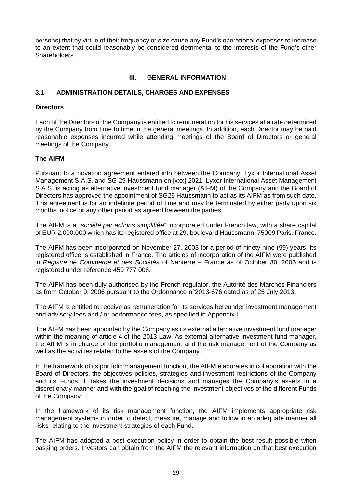persons) that by virtue of their frequency or size cause any Fund's operational expenses to increase to an extent that could reasonably be considered detrimental to the interests of the Fund's other Shareholders.

## **III. GENERAL INFORMATION**

### **3.1 ADMINISTRATION DETAILS, CHARGES AND EXPENSES**

### **Directors**

Each of the Directors of the Company is entitled to remuneration for his services at a rate determined by the Company from time to time in the general meetings. In addition, each Director may be paid reasonable expenses incurred while attending meetings of the Board of Directors or general meetings of the Company.

### **The AIFM**

Pursuant to a novation agreement entered into between the Company, Lyxor International Asset Management S.A.S. and SG 29 Haussmann on [xxx] 2021, Lyxor International Asset Management S.A.S. is acting as alternative investment fund manager (AIFM) of the Company and the Board of Directors has approved the appointment of SG29 Haussmann to act as its AIFM as from such date. This agreement is for an indefinite period of time and may be terminated by either party upon six months' notice or any other period as agreed between the parties.

The AIFM is a "*société par actions simplifiée*" incorporated under French law, with a share capital of EUR 2,000,000 which has its registered office at 29, boulevard Haussmann, 75009 Paris, France.

The AIFM has been incorporated on November 27, 2003 for a period of ninety-nine (99) years. Its registered office is established in France. The articles of incorporation of the AIFM were published in *Registre de Commerce et des Sociétés* of Nanterre – France as of October 30, 2006 and is registered under reference 450 777 008.

The AIFM has been duly authorised by the French regulator, the Autorité des Marchés Financiers as from October 9, 2006 pursuant to the Ordonnance n°2013-676 dated as of 25 July 2013.

The AIFM is entitled to receive as remuneration for its services hereunder investment management and advisory fees and / or performance fees, as specified in Appendix II.

The AIFM has been appointed by the Company as its external alternative investment fund manager within the meaning of article 4 of the 2013 Law. As external alternative investment fund manager, the AIFM is in charge of the portfolio management and the risk management of the Company as well as the activities related to the assets of the Company.

In the framework of its portfolio management function, the AIFM elaborates in collaboration with the Board of Directors, the objectives policies, strategies and investment restrictions of the Company and its Funds. It takes the investment decisions and manages the Company's assets in a discretionary manner and with the goal of reaching the investment objectives of the different Funds of the Company.

In the framework of its risk management function, the AIFM implements appropriate risk management systems in order to detect, measure, manage and follow in an adequate manner all risks relating to the investment strategies of each Fund.

The AIFM has adopted a best execution policy in order to obtain the best result possible when passing orders. Investors can obtain from the AIFM the relevant information on that best execution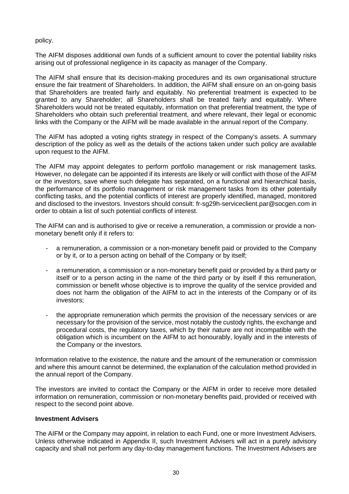### policy.

The AIFM disposes additional own funds of a sufficient amount to cover the potential liability risks arising out of professional negligence in its capacity as manager of the Company.

The AIFM shall ensure that its decision-making procedures and its own organisational structure ensure the fair treatment of Shareholders. In addition, the AIFM shall ensure on an on-going basis that Shareholders are treated fairly and equitably. No preferential treatment is expected to be granted to any Shareholder; all Shareholders shall be treated fairly and equitably. Where Shareholders would not be treated equitably, information on that preferential treatment, the type of Shareholders who obtain such preferential treatment, and where relevant, their legal or economic links with the Company or the AIFM will be made available in the annual report of the Company.

The AIFM has adopted a voting rights strategy in respect of the Company's assets. A summary description of the policy as well as the details of the actions taken under such policy are available upon request to the AIFM.

The AIFM may appoint delegates to perform portfolio management or risk management tasks. However, no delegate can be appointed if its interests are likely or will conflict with those of the AIFM or the investors, save where such delegate has separated, on a functional and hierarchical basis, the performance of its portfolio management or risk management tasks from its other potentially conflicting tasks, and the potential conflicts of interest are properly identified, managed, monitored and disclosed to the investors. Investors should consult: fr-sg29h-serviceclient.par@socgen.com in order to obtain a list of such potential conflicts of interest.

The AIFM can and is authorised to give or receive a remuneration, a commission or provide a nonmonetary benefit only if it refers to:

- a remuneration, a commission or a non-monetary benefit paid or provided to the Company or by it, or to a person acting on behalf of the Company or by itself;
- a remuneration, a commission or a non-monetary benefit paid or provided by a third party or itself or to a person acting in the name of the third party or by itself if this remuneration, commission or benefit whose objective is to improve the quality of the service provided and does not harm the obligation of the AIFM to act in the interests of the Company or of its investors;
- the appropriate remuneration which permits the provision of the necessary services or are necessary for the provision of the service, most notably the custody rights, the exchange and procedural costs, the regulatory taxes, which by their nature are not incompatible with the obligation which is incumbent on the AIFM to act honourably, loyally and in the interests of the Company or the investors.

Information relative to the existence, the nature and the amount of the remuneration or commission and where this amount cannot be determined, the explanation of the calculation method provided in the annual report of the Company.

The investors are invited to contact the Company or the AIFM in order to receive more detailed information on remuneration, commission or non-monetary benefits paid, provided or received with respect to the second point above.

#### **Investment Advisers**

The AIFM or the Company may appoint, in relation to each Fund, one or more Investment Advisers. Unless otherwise indicated in Appendix II, such Investment Advisers will act in a purely advisory capacity and shall not perform any day-to-day management functions. The Investment Advisers are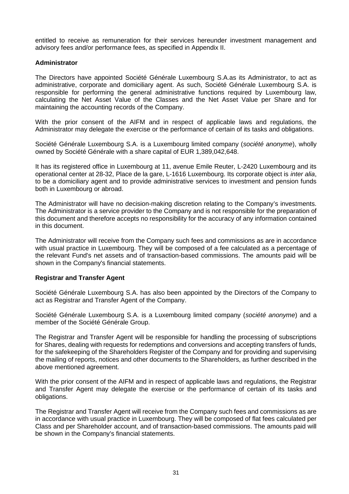entitled to receive as remuneration for their services hereunder investment management and advisory fees and/or performance fees, as specified in Appendix II.

### **Administrator**

The Directors have appointed Société Générale Luxembourg S.A.as its Administrator, to act as administrative, corporate and domiciliary agent. As such, Société Générale Luxembourg S.A. is responsible for performing the general administrative functions required by Luxembourg law, calculating the Net Asset Value of the Classes and the Net Asset Value per Share and for maintaining the accounting records of the Company.

With the prior consent of the AIFM and in respect of applicable laws and regulations, the Administrator may delegate the exercise or the performance of certain of its tasks and obligations.

Société Générale Luxembourg S.A. is a Luxembourg limited company (*société anonyme*), wholly owned by Société Générale with a share capital of EUR 1,389,042,648.

It has its registered office in Luxembourg at 11, avenue Emile Reuter, L-2420 Luxembourg and its operational center at 28-32, Place de la gare, L-1616 Luxembourg. Its corporate object is *inter alia*, to be a domiciliary agent and to provide administrative services to investment and pension funds both in Luxembourg or abroad.

The Administrator will have no decision-making discretion relating to the Company's investments. The Administrator is a service provider to the Company and is not responsible for the preparation of this document and therefore accepts no responsibility for the accuracy of any information contained in this document.

The Administrator will receive from the Company such fees and commissions as are in accordance with usual practice in Luxembourg. They will be composed of a fee calculated as a percentage of the relevant Fund's net assets and of transaction-based commissions. The amounts paid will be shown in the Company's financial statements.

### **Registrar and Transfer Agent**

Société Générale Luxembourg S.A. has also been appointed by the Directors of the Company to act as Registrar and Transfer Agent of the Company.

Société Générale Luxembourg S.A. is a Luxembourg limited company (*société anonyme*) and a member of the Société Générale Group.

The Registrar and Transfer Agent will be responsible for handling the processing of subscriptions for Shares, dealing with requests for redemptions and conversions and accepting transfers of funds, for the safekeeping of the Shareholders Register of the Company and for providing and supervising the mailing of reports, notices and other documents to the Shareholders, as further described in the above mentioned agreement.

With the prior consent of the AIFM and in respect of applicable laws and regulations, the Registrar and Transfer Agent may delegate the exercise or the performance of certain of its tasks and obligations.

The Registrar and Transfer Agent will receive from the Company such fees and commissions as are in accordance with usual practice in Luxembourg. They will be composed of flat fees calculated per Class and per Shareholder account, and of transaction-based commissions. The amounts paid will be shown in the Company's financial statements.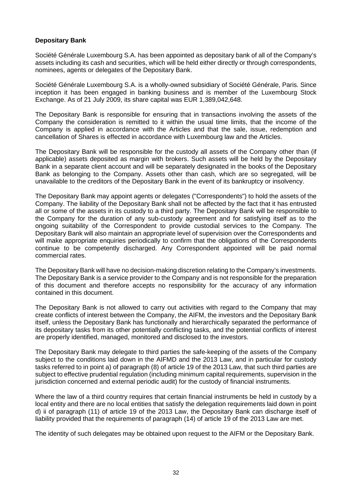### **Depositary Bank**

Société Générale Luxembourg S.A. has been appointed as depositary bank of all of the Company's assets including its cash and securities, which will be held either directly or through correspondents, nominees, agents or delegates of the Depositary Bank.

Société Générale Luxembourg S.A. is a wholly-owned subsidiary of Société Générale, Paris. Since inception it has been engaged in banking business and is member of the Luxembourg Stock Exchange. As of 21 July 2009, its share capital was EUR 1,389,042,648.

The Depositary Bank is responsible for ensuring that in transactions involving the assets of the Company the consideration is remitted to it within the usual time limits, that the income of the Company is applied in accordance with the Articles and that the sale, issue, redemption and cancellation of Shares is effected in accordance with Luxembourg law and the Articles.

The Depositary Bank will be responsible for the custody all assets of the Company other than (if applicable) assets deposited as margin with brokers. Such assets will be held by the Depositary Bank in a separate client account and will be separately designated in the books of the Depositary Bank as belonging to the Company. Assets other than cash, which are so segregated, will be unavailable to the creditors of the Depositary Bank in the event of its bankruptcy or insolvency.

The Depositary Bank may appoint agents or delegates ("Correspondents") to hold the assets of the Company. The liability of the Depositary Bank shall not be affected by the fact that it has entrusted all or some of the assets in its custody to a third party. The Depositary Bank will be responsible to the Company for the duration of any sub-custody agreement and for satisfying itself as to the ongoing suitability of the Correspondent to provide custodial services to the Company. The Depositary Bank will also maintain an appropriate level of supervision over the Correspondents and will make appropriate enquiries periodically to confirm that the obligations of the Correspondents continue to be competently discharged. Any Correspondent appointed will be paid normal commercial rates.

The Depositary Bank will have no decision-making discretion relating to the Company's investments. The Depositary Bank is a service provider to the Company and is not responsible for the preparation of this document and therefore accepts no responsibility for the accuracy of any information contained in this document.

The Depositary Bank is not allowed to carry out activities with regard to the Company that may create conflicts of interest between the Company, the AIFM, the investors and the Depositary Bank itself, unless the Depositary Bank has functionally and hierarchically separated the performance of its depositary tasks from its other potentially conflicting tasks, and the potential conflicts of interest are properly identified, managed, monitored and disclosed to the investors.

The Depositary Bank may delegate to third parties the safe-keeping of the assets of the Company subject to the conditions laid down in the AIFMD and the 2013 Law, and in particular for custody tasks referred to in point a) of paragraph (8) of article 19 of the 2013 Law, that such third parties are subject to effective prudential regulation (including minimum capital requirements, supervision in the jurisdiction concerned and external periodic audit) for the custody of financial instruments.

Where the law of a third country requires that certain financial instruments be held in custody by a local entity and there are no local entities that satisfy the delegation requirements laid down in point d) ii of paragraph (11) of article 19 of the 2013 Law, the Depositary Bank can discharge itself of liability provided that the requirements of paragraph (14) of article 19 of the 2013 Law are met.

The identity of such delegates may be obtained upon request to the AIFM or the Depositary Bank.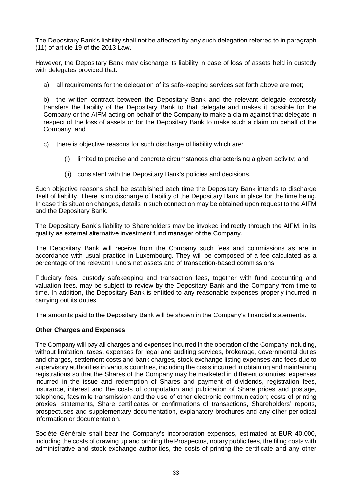The Depositary Bank's liability shall not be affected by any such delegation referred to in paragraph (11) of article 19 of the 2013 Law.

However, the Depositary Bank may discharge its liability in case of loss of assets held in custody with delegates provided that:

a) all requirements for the delegation of its safe-keeping services set forth above are met;

b) the written contract between the Depositary Bank and the relevant delegate expressly transfers the liability of the Depositary Bank to that delegate and makes it possible for the Company or the AIFM acting on behalf of the Company to make a claim against that delegate in respect of the loss of assets or for the Depositary Bank to make such a claim on behalf of the Company; and

- c) there is objective reasons for such discharge of liability which are:
	- (i) limited to precise and concrete circumstances characterising a given activity; and
	- (ii) consistent with the Depositary Bank's policies and decisions.

Such objective reasons shall be established each time the Depositary Bank intends to discharge itself of liability. There is no discharge of liability of the Depositary Bank in place for the time being. In case this situation changes, details in such connection may be obtained upon request to the AIFM and the Depositary Bank.

The Depositary Bank's liability to Shareholders may be invoked indirectly through the AIFM, in its quality as external alternative investment fund manager of the Company.

The Depositary Bank will receive from the Company such fees and commissions as are in accordance with usual practice in Luxembourg. They will be composed of a fee calculated as a percentage of the relevant Fund's net assets and of transaction-based commissions.

Fiduciary fees, custody safekeeping and transaction fees, together with fund accounting and valuation fees, may be subject to review by the Depositary Bank and the Company from time to time. In addition, the Depositary Bank is entitled to any reasonable expenses properly incurred in carrying out its duties.

The amounts paid to the Depositary Bank will be shown in the Company's financial statements.

#### **Other Charges and Expenses**

The Company will pay all charges and expenses incurred in the operation of the Company including, without limitation, taxes, expenses for legal and auditing services, brokerage, governmental duties and charges, settlement costs and bank charges, stock exchange listing expenses and fees due to supervisory authorities in various countries, including the costs incurred in obtaining and maintaining registrations so that the Shares of the Company may be marketed in different countries; expenses incurred in the issue and redemption of Shares and payment of dividends, registration fees, insurance, interest and the costs of computation and publication of Share prices and postage, telephone, facsimile transmission and the use of other electronic communication; costs of printing proxies, statements, Share certificates or confirmations of transactions, Shareholders' reports, prospectuses and supplementary documentation, explanatory brochures and any other periodical information or documentation.

Société Générale shall bear the Company's incorporation expenses, estimated at EUR 40,000, including the costs of drawing up and printing the Prospectus, notary public fees, the filing costs with administrative and stock exchange authorities, the costs of printing the certificate and any other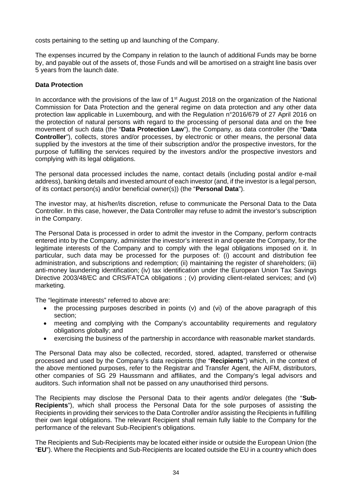costs pertaining to the setting up and launching of the Company.

The expenses incurred by the Company in relation to the launch of additional Funds may be borne by, and payable out of the assets of, those Funds and will be amortised on a straight line basis over 5 years from the launch date.

### **Data Protection**

In accordance with the provisions of the law of 1<sup>st</sup> August 2018 on the organization of the National Commission for Data Protection and the general regime on data protection and any other data protection law applicable in Luxembourg, and with the Regulation n°2016/679 of 27 April 2016 on the protection of natural persons with regard to the processing of personal data and on the free movement of such data (the "**Data Protection Law**"), the Company, as data controller (the "**Data Controller**"), collects, stores and/or processes, by electronic or other means, the personal data supplied by the investors at the time of their subscription and/or the prospective investors, for the purpose of fulfilling the services required by the investors and/or the prospective investors and complying with its legal obligations.

The personal data processed includes the name, contact details (including postal and/or e-mail address), banking details and invested amount of each investor (and, if the investor is a legal person, of its contact person(s) and/or beneficial owner(s)) (the "**Personal Data**").

The investor may, at his/her/its discretion, refuse to communicate the Personal Data to the Data Controller. In this case, however, the Data Controller may refuse to admit the investor's subscription in the Company.

The Personal Data is processed in order to admit the investor in the Company, perform contracts entered into by the Company, administer the investor's interest in and operate the Company, for the legitimate interests of the Company and to comply with the legal obligations imposed on it. In particular, such data may be processed for the purposes of: (i) account and distribution fee administration, and subscriptions and redemption; (ii) maintaining the register of shareholders; (iii) anti-money laundering identification; (iv) tax identification under the European Union Tax Savings Directive 2003/48/EC and CRS/FATCA obligations ; (v) providing client-related services; and (vi) marketing.

The "legitimate interests" referred to above are:

- the processing purposes described in points (y) and (yi) of the above paragraph of this section;
- meeting and complying with the Company's accountability requirements and regulatory obligations globally; and
- exercising the business of the partnership in accordance with reasonable market standards.

The Personal Data may also be collected, recorded, stored, adapted, transferred or otherwise processed and used by the Company's data recipients (the "**Recipients**") which, in the context of the above mentioned purposes, refer to the Registrar and Transfer Agent, the AIFM, distributors, other companies of SG 29 Haussmann and affiliates, and the Company's legal advisors and auditors. Such information shall not be passed on any unauthorised third persons.

The Recipients may disclose the Personal Data to their agents and/or delegates (the "**Sub-Recipients**"), which shall process the Personal Data for the sole purposes of assisting the Recipients in providing their services to the Data Controller and/or assisting the Recipients in fulfilling their own legal obligations. The relevant Recipient shall remain fully liable to the Company for the performance of the relevant Sub-Recipient's obligations.

The Recipients and Sub-Recipients may be located either inside or outside the European Union (the "**EU**"). Where the Recipients and Sub-Recipients are located outside the EU in a country which does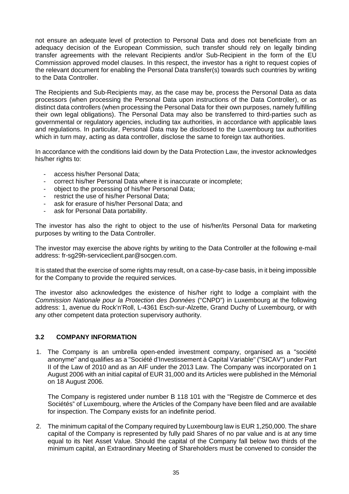not ensure an adequate level of protection to Personal Data and does not beneficiate from an adequacy decision of the European Commission, such transfer should rely on legally binding transfer agreements with the relevant Recipients and/or Sub-Recipient in the form of the EU Commission approved model clauses. In this respect, the investor has a right to request copies of the relevant document for enabling the Personal Data transfer(s) towards such countries by writing to the Data Controller.

The Recipients and Sub-Recipients may, as the case may be, process the Personal Data as data processors (when processing the Personal Data upon instructions of the Data Controller), or as distinct data controllers (when processing the Personal Data for their own purposes, namely fulfilling their own legal obligations). The Personal Data may also be transferred to third-parties such as governmental or regulatory agencies, including tax authorities, in accordance with applicable laws and regulations. In particular, Personal Data may be disclosed to the Luxembourg tax authorities which in turn may, acting as data controller, disclose the same to foreign tax authorities.

In accordance with the conditions laid down by the Data Protection Law, the investor acknowledges his/her rights to:

- access his/her Personal Data;
- correct his/her Personal Data where it is inaccurate or incomplete;
- object to the processing of his/her Personal Data;
- restrict the use of his/her Personal Data:
- ask for erasure of his/her Personal Data; and
- ask for Personal Data portability.

The investor has also the right to object to the use of his/her/its Personal Data for marketing purposes by writing to the Data Controller.

The investor may exercise the above rights by writing to the Data Controller at the following e-mail address: fr-sg29h-serviceclient.par@socgen.com.

It is stated that the exercise of some rights may result, on a case-by-case basis, in it being impossible for the Company to provide the required services.

The investor also acknowledges the existence of his/her right to lodge a complaint with the *Commission Nationale pour la Protection des Données* ("CNPD") in Luxembourg at the following address: 1, avenue du Rock'n'Roll, L-4361 Esch-sur-Alzette, Grand Duchy of Luxembourg, or with any other competent data protection supervisory authority.

### **3.2 COMPANY INFORMATION**

1. The Company is an umbrella open-ended investment company, organised as a "société anonyme" and qualifies as a "Société d'Investissement à Capital Variable" ("SICAV") under Part II of the Law of 2010 and as an AIF under the 2013 Law. The Company was incorporated on 1 August 2006 with an initial capital of EUR 31,000 and its Articles were published in the Mémorial on 18 August 2006.

The Company is registered under number B 118 101 with the "Registre de Commerce et des Sociétés" of Luxembourg, where the Articles of the Company have been filed and are available for inspection. The Company exists for an indefinite period.

2. The minimum capital of the Company required by Luxembourg law is EUR 1,250,000. The share capital of the Company is represented by fully paid Shares of no par value and is at any time equal to its Net Asset Value. Should the capital of the Company fall below two thirds of the minimum capital, an Extraordinary Meeting of Shareholders must be convened to consider the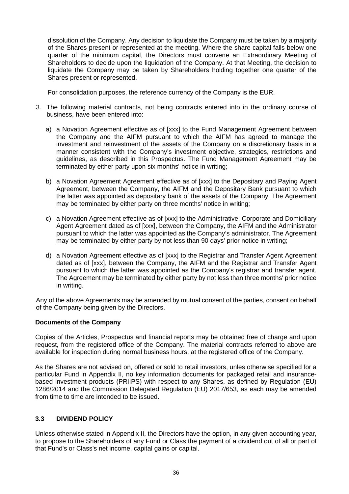dissolution of the Company. Any decision to liquidate the Company must be taken by a majority of the Shares present or represented at the meeting. Where the share capital falls below one quarter of the minimum capital, the Directors must convene an Extraordinary Meeting of Shareholders to decide upon the liquidation of the Company. At that Meeting, the decision to liquidate the Company may be taken by Shareholders holding together one quarter of the Shares present or represented.

For consolidation purposes, the reference currency of the Company is the EUR.

- 3. The following material contracts, not being contracts entered into in the ordinary course of business, have been entered into:
	- a) a Novation Agreement effective as of [xxx] to the Fund Management Agreement between the Company and the AIFM pursuant to which the AIFM has agreed to manage the investment and reinvestment of the assets of the Company on a discretionary basis in a manner consistent with the Company's investment objective, strategies, restrictions and guidelines, as described in this Prospectus. The Fund Management Agreement may be terminated by either party upon six months' notice in writing;
	- b) a Novation Agreement Agreement effective as of [xxx] to the Depositary and Paying Agent Agreement, between the Company, the AIFM and the Depositary Bank pursuant to which the latter was appointed as depositary bank of the assets of the Company. The Agreement may be terminated by either party on three months' notice in writing;
	- c) a Novation Agreement effective as of [xxx] to the Administrative, Corporate and Domiciliary Agent Agreement dated as of [xxx], between the Company, the AIFM and the Administrator pursuant to which the latter was appointed as the Company's administrator. The Agreement may be terminated by either party by not less than 90 days' prior notice in writing;
	- d) a Novation Agreement effective as of [xxx] to the Registrar and Transfer Agent Agreement dated as of [xxx], between the Company, the AIFM and the Registrar and Transfer Agent pursuant to which the latter was appointed as the Company's registrar and transfer agent. The Agreement may be terminated by either party by not less than three months' prior notice in writing.

Any of the above Agreements may be amended by mutual consent of the parties, consent on behalf of the Company being given by the Directors.

### **Documents of the Company**

Copies of the Articles, Prospectus and financial reports may be obtained free of charge and upon request, from the registered office of the Company. The material contracts referred to above are available for inspection during normal business hours, at the registered office of the Company.

As the Shares are not advised on, offered or sold to retail investors, unles otherwise specified for a particular Fund in Appendix II, no key information documents for packaged retail and insurancebased investment products (PRIIPS) with respect to any Shares, as defined by Regulation (EU) 1286/2014 and the Commission Delegated Regulation (EU) 2017/653, as each may be amended from time to time are intended to be issued.

### **3.3 DIVIDEND POLICY**

Unless otherwise stated in Appendix II, the Directors have the option, in any given accounting year, to propose to the Shareholders of any Fund or Class the payment of a dividend out of all or part of that Fund's or Class's net income, capital gains or capital.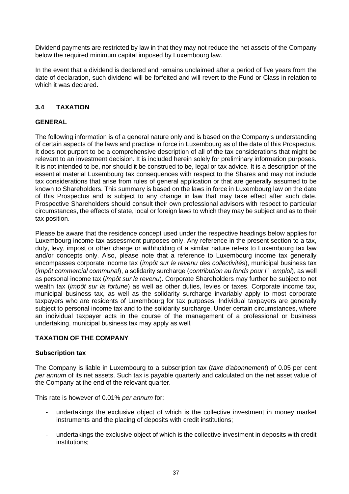Dividend payments are restricted by law in that they may not reduce the net assets of the Company below the required minimum capital imposed by Luxembourg law.

In the event that a dividend is declared and remains unclaimed after a period of five years from the date of declaration, such dividend will be forfeited and will revert to the Fund or Class in relation to which it was declared.

## **3.4 TAXATION**

## **GENERAL**

The following information is of a general nature only and is based on the Company's understanding of certain aspects of the laws and practice in force in Luxembourg as of the date of this Prospectus. It does not purport to be a comprehensive description of all of the tax considerations that might be relevant to an investment decision. It is included herein solely for preliminary information purposes. It is not intended to be, nor should it be construed to be, legal or tax advice. It is a description of the essential material Luxembourg tax consequences with respect to the Shares and may not include tax considerations that arise from rules of general application or that are generally assumed to be known to Shareholders. This summary is based on the laws in force in Luxembourg law on the date of this Prospectus and is subject to any change in law that may take effect after such date. Prospective Shareholders should consult their own professional advisors with respect to particular circumstances, the effects of state, local or foreign laws to which they may be subject and as to their tax position.

Please be aware that the residence concept used under the respective headings below applies for Luxembourg income tax assessment purposes only. Any reference in the present section to a tax, duty, levy, impost or other charge or withholding of a similar nature refers to Luxembourg tax law and/or concepts only. Also, please note that a reference to Luxembourg income tax generally encompasses corporate income tax (*impôt sur le revenu des collectivités*), municipal business tax (*impôt commercial communal*), a solidarity surcharge (*contribution au fonds pour l*'*emploi*), as well as personal income tax (*impôt sur le revenu*). Corporate Shareholders may further be subject to net wealth tax (*impôt sur la fortune*) as well as other duties, levies or taxes. Corporate income tax, municipal business tax, as well as the solidarity surcharge invariably apply to most corporate taxpayers who are residents of Luxembourg for tax purposes. Individual taxpayers are generally subject to personal income tax and to the solidarity surcharge. Under certain circumstances, where an individual taxpayer acts in the course of the management of a professional or business undertaking, municipal business tax may apply as well.

### **TAXATION OF THE COMPANY**

### **Subscription tax**

The Company is liable in Luxembourg to a subscription tax (*taxe d'abonnement*) of 0.05 per cent *per annum* of its net assets. Such tax is payable quarterly and calculated on the net asset value of the Company at the end of the relevant quarter.

This rate is however of 0.01% *per annum* for:

- undertakings the exclusive object of which is the collective investment in money market instruments and the placing of deposits with credit institutions;
- undertakings the exclusive object of which is the collective investment in deposits with credit institutions;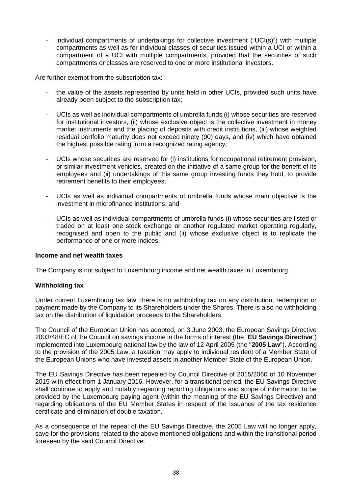individual compartments of undertakings for collective investment ("UCI(s)") with multiple compartments as well as for individual classes of securities issued within a UCI or within a compartment of a UCI with multiple compartments, provided that the securities of such compartments or classes are reserved to one or more institutional investors.

Are further exempt from the subscription tax:

- the value of the assets represented by units held in other UCIs, provided such units have already been subject to the subscription tax;
- UCIs as well as individual compartments of umbrella funds (i) whose securities are reserved for institutional investors, (ii) whose exclusive object is the collective investment in money market instruments and the placing of deposits with credit institutions, (iii) whose weighted residual portfolio maturity does not exceed ninety (90) days, and (iv) which have obtained the highest possible rating from a recognized rating agency;
- UCIs whose securities are reserved for (i) institutions for occupational retirement provision, or similar investment vehicles, created on the initiative of a same group for the benefit of its employees and (ii) undertakings of this same group investing funds they hold, to provide retirement benefits to their employees;
- UCIs as well as individual compartments of umbrella funds whose main objective is the investment in microfinance institutions; and
- UCIs as well as individual compartments of umbrella funds (i) whose securities are listed or traded on at least one stock exchange or another regulated market operating regularly, recognised and open to the public and (ii) whose exclusive object is to replicate the performance of one or more indices.

#### **Income and net wealth taxes**

The Company is not subject to Luxembourg income and net wealth taxes in Luxembourg.

### **Withholding tax**

Under current Luxembourg tax law, there is no withholding tax on any distribution, redemption or payment made by the Company to its Shareholders under the Shares. There is also no withholding tax on the distribution of liquidation proceeds to the Shareholders.

The Council of the European Union has adopted, on 3 June 2003, the European Savings Directive 2003/48/EC of the Council on savings income in the forms of interest (the "**EU Savings Directive**") implemented into Luxembourg national law by the law of 12 April 2005 (the "**2005 Law**"). According to the provision of the 2005 Law, a taxation may apply to individual resident of a Member State of the European Unions who have invested assets in another Member State of the European Union.

The EU Savings Directive has been repealed by Council Directive of 2015/2060 of 10 November 2015 with effect from 1 January 2016. However, for a transitional period, the EU Savings Directive shall continue to apply and notably regarding reporting obligations and scope of information to be provided by the Luxembourg paying agent (within the meaning of the EU Savings Directive) and regarding obligations of the EU Member States in respect of the issuance of the tax residence certificate and elimination of double taxation.

As a consequence of the repeal of the EU Savings Directive, the 2005 Law will no longer apply, save for the provisions related to the above mentioned obligations and within the transitional period foreseen by the said Council Directive.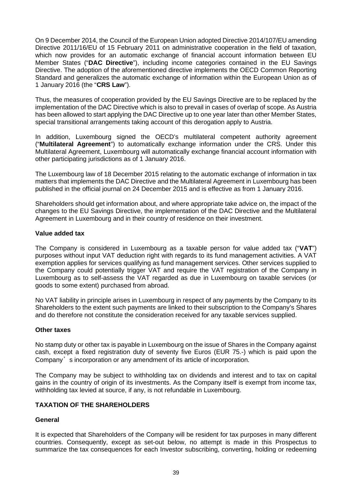On 9 December 2014, the Council of the European Union adopted Directive 2014/107/EU amending Directive 2011/16/EU of 15 February 2011 on administrative cooperation in the field of taxation, which now provides for an automatic exchange of financial account information between EU Member States ("**DAC Directive**"), including income categories contained in the EU Savings Directive. The adoption of the aforementioned directive implements the OECD Common Reporting Standard and generalizes the automatic exchange of information within the European Union as of 1 January 2016 (the "**CRS Law**").

Thus, the measures of cooperation provided by the EU Savings Directive are to be replaced by the implementation of the DAC Directive which is also to prevail in cases of overlap of scope. As Austria has been allowed to start applying the DAC Directive up to one year later than other Member States, special transitional arrangements taking account of this derogation apply to Austria.

In addition, Luxembourg signed the OECD's multilateral competent authority agreement ("**Multilateral Agreement**") to automatically exchange information under the CRS. Under this Multilateral Agreement, Luxembourg will automatically exchange financial account information with other participating jurisdictions as of 1 January 2016.

The Luxembourg law of 18 December 2015 relating to the automatic exchange of information in tax matters that implements the DAC Directive and the Multilateral Agreement in Luxembourg has been published in the official journal on 24 December 2015 and is effective as from 1 January 2016.

Shareholders should get information about, and where appropriate take advice on, the impact of the changes to the EU Savings Directive, the implementation of the DAC Directive and the Multilateral Agreement in Luxembourg and in their country of residence on their investment.

### **Value added tax**

The Company is considered in Luxembourg as a taxable person for value added tax ("**VAT**") purposes without input VAT deduction right with regards to its fund management activities. A VAT exemption applies for services qualifying as fund management services. Other services supplied to the Company could potentially trigger VAT and require the VAT registration of the Company in Luxembourg as to self-assess the VAT regarded as due in Luxembourg on taxable services (or goods to some extent) purchased from abroad.

No VAT liability in principle arises in Luxembourg in respect of any payments by the Company to its Shareholders to the extent such payments are linked to their subscription to the Company's Shares and do therefore not constitute the consideration received for any taxable services supplied.

#### **Other taxes**

No stamp duty or other tax is payable in Luxembourg on the issue of Shares in the Company against cash, except a fixed registration duty of seventy five Euros (EUR 75.-) which is paid upon the Company's incorporation or any amendment of its article of incorporation.

The Company may be subject to withholding tax on dividends and interest and to tax on capital gains in the country of origin of its investments. As the Company itself is exempt from income tax, withholding tax levied at source, if any, is not refundable in Luxembourg.

### **TAXATION OF THE SHAREHOLDERS**

### **General**

It is expected that Shareholders of the Company will be resident for tax purposes in many different countries. Consequently, except as set-out below, no attempt is made in this Prospectus to summarize the tax consequences for each Investor subscribing, converting, holding or redeeming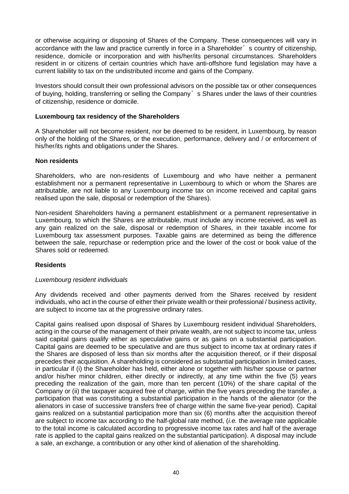or otherwise acquiring or disposing of Shares of the Company. These consequences will vary in accordance with the law and practice currently in force in a Shareholder's country of citizenship, residence, domicile or incorporation and with his/her/its personal circumstances. Shareholders resident in or citizens of certain countries which have anti-offshore fund legislation may have a current liability to tax on the undistributed income and gains of the Company.

Investors should consult their own professional advisors on the possible tax or other consequences of buying, holding, transferring or selling the Company's Shares under the laws of their countries of citizenship, residence or domicile.

#### **Luxembourg tax residency of the Shareholders**

A Shareholder will not become resident, nor be deemed to be resident, in Luxembourg, by reason only of the holding of the Shares, or the execution, performance, delivery and / or enforcement of his/her/its rights and obligations under the Shares.

#### **Non residents**

Shareholders, who are non-residents of Luxembourg and who have neither a permanent establishment nor a permanent representative in Luxembourg to which or whom the Shares are attributable, are not liable to any Luxembourg income tax on income received and capital gains realised upon the sale, disposal or redemption of the Shares).

Non-resident Shareholders having a permanent establishment or a permanent representative in Luxembourg, to which the Shares are attributable, must include any income received, as well as any gain realized on the sale, disposal or redemption of Shares, in their taxable income for Luxembourg tax assessment purposes. Taxable gains are determined as being the difference between the sale, repurchase or redemption price and the lower of the cost or book value of the Shares sold or redeemed.

#### **Residents**

#### *Luxembourg resident individuals*

Any dividends received and other payments derived from the Shares received by resident individuals, who act in the course of either their private wealth or their professional / business activity, are subject to income tax at the progressive ordinary rates.

Capital gains realised upon disposal of Shares by Luxembourg resident individual Shareholders, acting in the course of the management of their private wealth, are not subject to income tax, unless said capital gains qualify either as speculative gains or as gains on a substantial participation. Capital gains are deemed to be speculative and are thus subject to income tax at ordinary rates if the Shares are disposed of less than six months after the acquisition thereof, or if their disposal precedes their acquisition. A shareholding is considered as substantial participation in limited cases, in particular if (i) the Shareholder has held, either alone or together with his/her spouse or partner and/or his/her minor children, either directly or indirectly, at any time within the five (5) years preceding the realization of the gain, more than ten percent (10%) of the share capital of the Company or (ii) the taxpayer acquired free of charge, within the five years preceding the transfer, a participation that was constituting a substantial participation in the hands of the alienator (or the alienators in case of successive transfers free of charge within the same five-year period). Capital gains realized on a substantial participation more than six (6) months after the acquisition thereof are subject to income tax according to the half-global rate method, (*i.e.* the average rate applicable to the total income is calculated according to progressive income tax rates and half of the average rate is applied to the capital gains realized on the substantial participation). A disposal may include a sale, an exchange, a contribution or any other kind of alienation of the shareholding.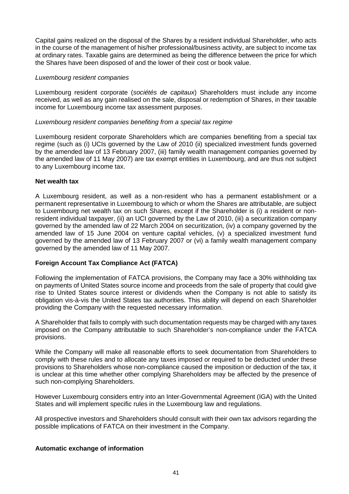Capital gains realized on the disposal of the Shares by a resident individual Shareholder, who acts in the course of the management of his/her professional/business activity, are subject to income tax at ordinary rates. Taxable gains are determined as being the difference between the price for which the Shares have been disposed of and the lower of their cost or book value.

#### *Luxembourg resident companies*

Luxembourg resident corporate (*sociétés de capitaux*) Shareholders must include any income received, as well as any gain realised on the sale, disposal or redemption of Shares, in their taxable income for Luxembourg income tax assessment purposes.

#### *Luxembourg resident companies benefiting from a special tax regime*

Luxembourg resident corporate Shareholders which are companies benefiting from a special tax regime (such as (i) UCIs governed by the Law of 2010 (ii) specialized investment funds governed by the amended law of 13 February 2007, (iii) family wealth management companies governed by the amended law of 11 May 2007) are tax exempt entities in Luxembourg, and are thus not subject to any Luxembourg income tax.

#### **Net wealth tax**

A Luxembourg resident, as well as a non-resident who has a permanent establishment or a permanent representative in Luxembourg to which or whom the Shares are attributable, are subject to Luxembourg net wealth tax on such Shares, except if the Shareholder is (i) a resident or nonresident individual taxpayer, (ii) an UCI governed by the Law of 2010, (iii) a securitization company governed by the amended law of 22 March 2004 on securitization, (iv) a company governed by the amended law of 15 June 2004 on venture capital vehicles, (v) a specialized investment fund governed by the amended law of 13 February 2007 or (vi) a family wealth management company governed by the amended law of 11 May 2007.

### **Foreign Account Tax Compliance Act (FATCA)**

Following the implementation of FATCA provisions, the Company may face a 30% withholding tax on payments of United States source income and proceeds from the sale of property that could give rise to United States source interest or dividends when the Company is not able to satisfy its obligation vis-à-vis the United States tax authorities. This ability will depend on each Shareholder providing the Company with the requested necessary information.

A Shareholder that fails to comply with such documentation requests may be charged with any taxes imposed on the Company attributable to such Shareholder's non-compliance under the FATCA provisions.

While the Company will make all reasonable efforts to seek documentation from Shareholders to comply with these rules and to allocate any taxes imposed or required to be deducted under these provisions to Shareholders whose non-compliance caused the imposition or deduction of the tax, it is unclear at this time whether other complying Shareholders may be affected by the presence of such non-complying Shareholders.

However Luxembourg considers entry into an Inter-Governmental Agreement (IGA) with the United States and will implement specific rules in the Luxembourg law and regulations.

All prospective investors and Shareholders should consult with their own tax advisors regarding the possible implications of FATCA on their investment in the Company.

### **Automatic exchange of information**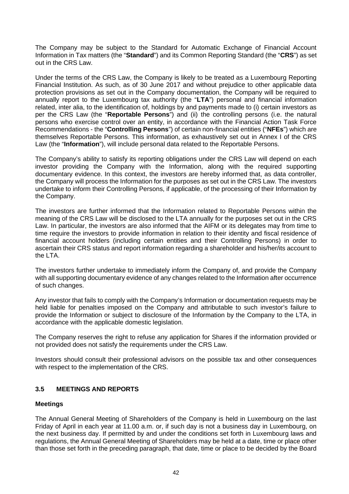The Company may be subject to the Standard for Automatic Exchange of Financial Account Information in Tax matters (the "**Standard**") and its Common Reporting Standard (the "**CRS**") as set out in the CRS Law.

Under the terms of the CRS Law, the Company is likely to be treated as a Luxembourg Reporting Financial Institution. As such, as of 30 June 2017 and without prejudice to other applicable data protection provisions as set out in the Company documentation, the Company will be required to annually report to the Luxembourg tax authority (the "**LTA**") personal and financial information related, inter alia, to the identification of, holdings by and payments made to (i) certain investors as per the CRS Law (the "**Reportable Persons**") and (ii) the controlling persons (i.e. the natural persons who exercise control over an entity, in accordance with the Financial Action Task Force Recommendations - the "**Controlling Persons**") of certain non-financial entities ("**NFEs**") which are themselves Reportable Persons. This information, as exhaustively set out in Annex I of the CRS Law (the "**Information**"), will include personal data related to the Reportable Persons.

The Company's ability to satisfy its reporting obligations under the CRS Law will depend on each investor providing the Company with the Information, along with the required supporting documentary evidence. In this context, the investors are hereby informed that, as data controller, the Company will process the Information for the purposes as set out in the CRS Law. The investors undertake to inform their Controlling Persons, if applicable, of the processing of their Information by the Company.

The investors are further informed that the Information related to Reportable Persons within the meaning of the CRS Law will be disclosed to the LTA annually for the purposes set out in the CRS Law. In particular, the investors are also informed that the AIFM or its delegates may from time to time require the investors to provide information in relation to their identity and fiscal residence of financial account holders (including certain entities and their Controlling Persons) in order to ascertain their CRS status and report information regarding a shareholder and his/her/its account to the LTA.

The investors further undertake to immediately inform the Company of, and provide the Company with all supporting documentary evidence of any changes related to the Information after occurrence of such changes.

Any investor that fails to comply with the Company's Information or documentation requests may be held liable for penalties imposed on the Company and attributable to such investor's failure to provide the Information or subject to disclosure of the Information by the Company to the LTA, in accordance with the applicable domestic legislation.

The Company reserves the right to refuse any application for Shares if the information provided or not provided does not satisfy the requirements under the CRS Law.

Investors should consult their professional advisors on the possible tax and other consequences with respect to the implementation of the CRS.

## **3.5 MEETINGS AND REPORTS**

### **Meetings**

The Annual General Meeting of Shareholders of the Company is held in Luxembourg on the last Friday of April in each year at 11.00 a.m. or, if such day is not a business day in Luxembourg, on the next business day. If permitted by and under the conditions set forth in Luxembourg laws and regulations, the Annual General Meeting of Shareholders may be held at a date, time or place other than those set forth in the preceding paragraph, that date, time or place to be decided by the Board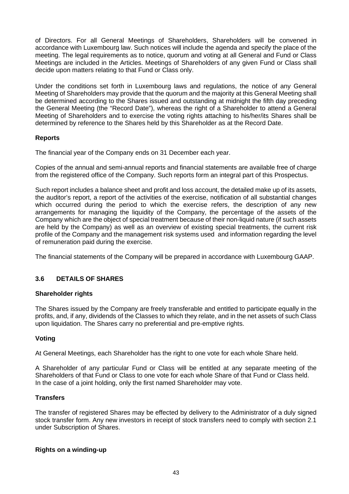of Directors. For all General Meetings of Shareholders, Shareholders will be convened in accordance with Luxembourg law. Such notices will include the agenda and specify the place of the meeting. The legal requirements as to notice, quorum and voting at all General and Fund or Class Meetings are included in the Articles. Meetings of Shareholders of any given Fund or Class shall decide upon matters relating to that Fund or Class only.

Under the conditions set forth in Luxembourg laws and regulations, the notice of any General Meeting of Shareholders may provide that the quorum and the majority at this General Meeting shall be determined according to the Shares issued and outstanding at midnight the fifth day preceding the General Meeting (the "Record Date"), whereas the right of a Shareholder to attend a General Meeting of Shareholders and to exercise the voting rights attaching to his/her/its Shares shall be determined by reference to the Shares held by this Shareholder as at the Record Date.

### **Reports**

The financial year of the Company ends on 31 December each year.

Copies of the annual and semi-annual reports and financial statements are available free of charge from the registered office of the Company. Such reports form an integral part of this Prospectus.

Such report includes a balance sheet and profit and loss account, the detailed make up of its assets, the auditor's report, a report of the activities of the exercise, notification of all substantial changes which occurred during the period to which the exercise refers, the description of any new arrangements for managing the liquidity of the Company, the percentage of the assets of the Company which are the object of special treatment because of their non-liquid nature (if such assets are held by the Company) as well as an overview of existing special treatments, the current risk profile of the Company and the management risk systems used and information regarding the level of remuneration paid during the exercise.

The financial statements of the Company will be prepared in accordance with Luxembourg GAAP.

## **3.6 DETAILS OF SHARES**

#### **Shareholder rights**

The Shares issued by the Company are freely transferable and entitled to participate equally in the profits, and, if any, dividends of the Classes to which they relate, and in the net assets of such Class upon liquidation. The Shares carry no preferential and pre-emptive rights.

### **Voting**

At General Meetings, each Shareholder has the right to one vote for each whole Share held.

A Shareholder of any particular Fund or Class will be entitled at any separate meeting of the Shareholders of that Fund or Class to one vote for each whole Share of that Fund or Class held. In the case of a joint holding, only the first named Shareholder may vote.

### **Transfers**

The transfer of registered Shares may be effected by delivery to the Administrator of a duly signed stock transfer form. Any new investors in receipt of stock transfers need to comply with section 2.1 under Subscription of Shares.

#### **Rights on a winding-up**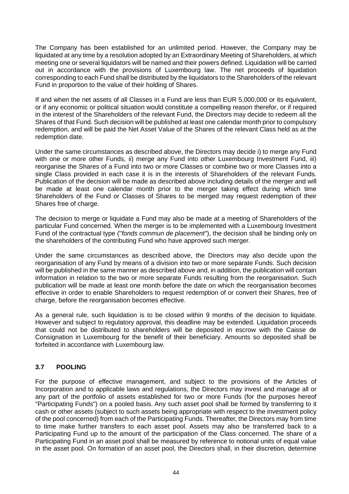The Company has been established for an unlimited period. However, the Company may be liquidated at any time by a resolution adopted by an Extraordinary Meeting of Shareholders, at which meeting one or several liquidators will be named and their powers defined. Liquidation will be carried out in accordance with the provisions of Luxembourg law. The net proceeds of liquidation corresponding to each Fund shall be distributed by the liquidators to the Shareholders of the relevant Fund in proportion to the value of their holding of Shares.

If and when the net assets of all Classes in a Fund are less than EUR 5,000,000 or its equivalent, or if any economic or political situation would constitute a compelling reason therefor, or if required in the interest of the Shareholders of the relevant Fund, the Directors may decide to redeem all the Shares of that Fund. Such decision will be published at least one calendar month prior to compulsory redemption, and will be paid the Net Asset Value of the Shares of the relevant Class held as at the redemption date.

Under the same circumstances as described above, the Directors may decide i) to merge any Fund with one or more other Funds, ii) merge any Fund into other Luxembourg Investment Fund, iii) reorganise the Shares of a Fund into two or more Classes or combine two or more Classes into a single Class provided in each case it is in the interests of Shareholders of the relevant Funds. Publication of the decision will be made as described above including details of the merger and will be made at least one calendar month prior to the merger taking effect during which time Shareholders of the Fund or Classes of Shares to be merged may request redemption of their Shares free of charge.

The decision to merge or liquidate a Fund may also be made at a meeting of Shareholders of the particular Fund concerned. When the merger is to be implemented with a Luxembourg Investment Fund of the contractual type ("*fonds commun de placement*"), the decision shall be binding only on the shareholders of the contributing Fund who have approved such merger.

Under the same circumstances as described above, the Directors may also decide upon the reorganisation of any Fund by means of a division into two or more separate Funds. Such decision will be published in the same manner as described above and, in addition, the publication will contain information in relation to the two or more separate Funds resulting from the reorganisation. Such publication will be made at least one month before the date on which the reorganisation becomes effective in order to enable Shareholders to request redemption of or convert their Shares, free of charge, before the reorganisation becomes effective.

As a general rule, such liquidation is to be closed within 9 months of the decision to liquidate. However and subject to regulatory approval, this deadline may be extended. Liquidation proceeds that could not be distributed to shareholders will be deposited in escrow with the Caisse de Consignation in Luxembourg for the benefit of their beneficiary. Amounts so deposited shall be forfeited in accordance with Luxembourg law.

## **3.7 POOLING**

For the purpose of effective management, and subject to the provisions of the Articles of Incorporation and to applicable laws and regulations, the Directors may invest and manage all or any part of the portfolio of assets established for two or more Funds (for the purposes hereof "Participating Funds") on a pooled basis. Any such asset pool shall be formed by transferring to it cash or other assets (subject to such assets being appropriate with respect to the investment policy of the pool concerned) from each of the Participating Funds. Thereafter, the Directors may from time to time make further transfers to each asset pool. Assets may also be transferred back to a Participating Fund up to the amount of the participation of the Class concerned. The share of a Participating Fund in an asset pool shall be measured by reference to notional units of equal value in the asset pool. On formation of an asset pool, the Directors shall, in their discretion, determine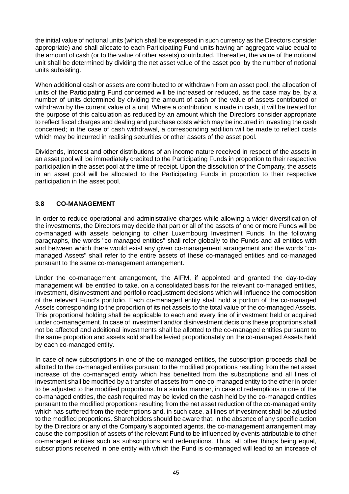the initial value of notional units (which shall be expressed in such currency as the Directors consider appropriate) and shall allocate to each Participating Fund units having an aggregate value equal to the amount of cash (or to the value of other assets) contributed. Thereafter, the value of the notional unit shall be determined by dividing the net asset value of the asset pool by the number of notional units subsisting.

When additional cash or assets are contributed to or withdrawn from an asset pool, the allocation of units of the Participating Fund concerned will be increased or reduced, as the case may be, by a number of units determined by dividing the amount of cash or the value of assets contributed or withdrawn by the current value of a unit. Where a contribution is made in cash, it will be treated for the purpose of this calculation as reduced by an amount which the Directors consider appropriate to reflect fiscal charges and dealing and purchase costs which may be incurred in investing the cash concerned; in the case of cash withdrawal, a corresponding addition will be made to reflect costs which may be incurred in realising securities or other assets of the asset pool.

Dividends, interest and other distributions of an income nature received in respect of the assets in an asset pool will be immediately credited to the Participating Funds in proportion to their respective participation in the asset pool at the time of receipt. Upon the dissolution of the Company, the assets in an asset pool will be allocated to the Participating Funds in proportion to their respective participation in the asset pool.

## **3.8 CO-MANAGEMENT**

In order to reduce operational and administrative charges while allowing a wider diversification of the investments, the Directors may decide that part or all of the assets of one or more Funds will be co-managed with assets belonging to other Luxembourg Investment Funds. In the following paragraphs, the words "co-managed entities" shall refer globally to the Funds and all entities with and between which there would exist any given co-management arrangement and the words "comanaged Assets" shall refer to the entire assets of these co-managed entities and co-managed pursuant to the same co-management arrangement.

Under the co-management arrangement, the AIFM, if appointed and granted the day-to-day management will be entitled to take, on a consolidated basis for the relevant co-managed entities, investment, disinvestment and portfolio readjustment decisions which will influence the composition of the relevant Fund's portfolio. Each co-managed entity shall hold a portion of the co-managed Assets corresponding to the proportion of its net assets to the total value of the co-managed Assets. This proportional holding shall be applicable to each and every line of investment held or acquired under co-management. In case of investment and/or disinvestment decisions these proportions shall not be affected and additional investments shall be allotted to the co-managed entities pursuant to the same proportion and assets sold shall be levied proportionately on the co-managed Assets held by each co-managed entity.

In case of new subscriptions in one of the co-managed entities, the subscription proceeds shall be allotted to the co-managed entities pursuant to the modified proportions resulting from the net asset increase of the co-managed entity which has benefited from the subscriptions and all lines of investment shall be modified by a transfer of assets from one co-managed entity to the other in order to be adjusted to the modified proportions. In a similar manner, in case of redemptions in one of the co-managed entities, the cash required may be levied on the cash held by the co-managed entities pursuant to the modified proportions resulting from the net asset reduction of the co-managed entity which has suffered from the redemptions and, in such case, all lines of investment shall be adjusted to the modified proportions. Shareholders should be aware that, in the absence of any specific action by the Directors or any of the Company's appointed agents, the co-management arrangement may cause the composition of assets of the relevant Fund to be influenced by events attributable to other co-managed entities such as subscriptions and redemptions. Thus, all other things being equal, subscriptions received in one entity with which the Fund is co-managed will lead to an increase of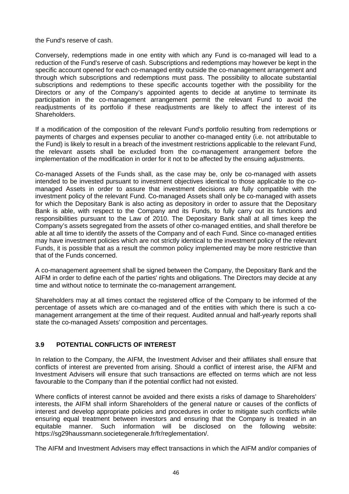the Fund's reserve of cash.

Conversely, redemptions made in one entity with which any Fund is co-managed will lead to a reduction of the Fund's reserve of cash. Subscriptions and redemptions may however be kept in the specific account opened for each co-managed entity outside the co-management arrangement and through which subscriptions and redemptions must pass. The possibility to allocate substantial subscriptions and redemptions to these specific accounts together with the possibility for the Directors or any of the Company's appointed agents to decide at anytime to terminate its participation in the co-management arrangement permit the relevant Fund to avoid the readjustments of its portfolio if these readjustments are likely to affect the interest of its Shareholders.

If a modification of the composition of the relevant Fund's portfolio resulting from redemptions or payments of charges and expenses peculiar to another co-managed entity (i.e. not attributable to the Fund) is likely to result in a breach of the investment restrictions applicable to the relevant Fund, the relevant assets shall be excluded from the co-management arrangement before the implementation of the modification in order for it not to be affected by the ensuing adjustments.

Co-managed Assets of the Funds shall, as the case may be, only be co-managed with assets intended to be invested pursuant to investment objectives identical to those applicable to the comanaged Assets in order to assure that investment decisions are fully compatible with the investment policy of the relevant Fund. Co-managed Assets shall only be co-managed with assets for which the Depositary Bank is also acting as depository in order to assure that the Depositary Bank is able, with respect to the Company and its Funds, to fully carry out its functions and responsibilities pursuant to the Law of 2010. The Depositary Bank shall at all times keep the Company's assets segregated from the assets of other co-managed entities, and shall therefore be able at all time to identify the assets of the Company and of each Fund. Since co-managed entities may have investment policies which are not strictly identical to the investment policy of the relevant Funds, it is possible that as a result the common policy implemented may be more restrictive than that of the Funds concerned.

A co-management agreement shall be signed between the Company, the Depositary Bank and the AIFM in order to define each of the parties' rights and obligations. The Directors may decide at any time and without notice to terminate the co-management arrangement.

Shareholders may at all times contact the registered office of the Company to be informed of the percentage of assets which are co-managed and of the entities with which there is such a comanagement arrangement at the time of their request. Audited annual and half-yearly reports shall state the co-managed Assets' composition and percentages.

## **3.9 POTENTIAL CONFLICTS OF INTEREST**

In relation to the Company, the AIFM, the Investment Adviser and their affiliates shall ensure that conflicts of interest are prevented from arising. Should a conflict of interest arise, the AIFM and Investment Advisers will ensure that such transactions are effected on terms which are not less favourable to the Company than if the potential conflict had not existed.

Where conflicts of interest cannot be avoided and there exists a risks of damage to Shareholders' interests, the AIFM shall inform Shareholders of the general nature or causes of the conflicts of interest and develop appropriate policies and procedures in order to mitigate such conflicts while ensuring equal treatment between investors and ensuring that the Company is treated in an equitable manner. Such information will be disclosed on the following website: https://sg29haussmann.societegenerale.fr/fr/reglementation/.

The AIFM and Investment Advisers may effect transactions in which the AIFM and/or companies of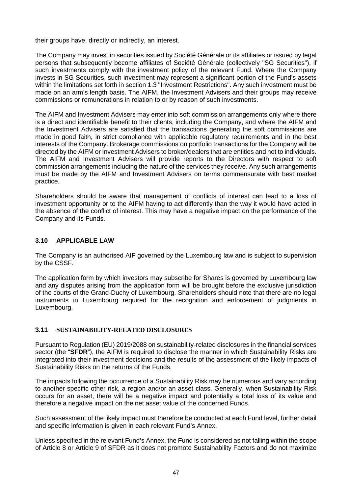their groups have, directly or indirectly, an interest.

The Company may invest in securities issued by Société Générale or its affiliates or issued by legal persons that subsequently become affiliates of Société Générale (collectively "SG Securities"), if such investments comply with the investment policy of the relevant Fund. Where the Company invests in SG Securities, such investment may represent a significant portion of the Fund's assets within the limitations set forth in section 1.3 "Investment Restrictions". Any such investment must be made on an arm's length basis. The AIFM, the Investment Advisers and their groups may receive commissions or remunerations in relation to or by reason of such investments.

The AIFM and Investment Advisers may enter into soft commission arrangements only where there is a direct and identifiable benefit to their clients, including the Company, and where the AIFM and the Investment Advisers are satisfied that the transactions generating the soft commissions are made in good faith, in strict compliance with applicable regulatory requirements and in the best interests of the Company. Brokerage commissions on portfolio transactions for the Company will be directed by the AIFM or Investment Advisers to broker/dealers that are entities and not to individuals. The AIFM and Investment Advisers will provide reports to the Directors with respect to soft commission arrangements including the nature of the services they receive. Any such arrangements must be made by the AIFM and Investment Advisers on terms commensurate with best market practice.

Shareholders should be aware that management of conflicts of interest can lead to a loss of investment opportunity or to the AIFM having to act differently than the way it would have acted in the absence of the conflict of interest. This may have a negative impact on the performance of the Company and its Funds.

## **3.10 APPLICABLE LAW**

The Company is an authorised AIF governed by the Luxembourg law and is subject to supervision by the CSSF.

The application form by which investors may subscribe for Shares is governed by Luxembourg law and any disputes arising from the application form will be brought before the exclusive jurisdiction of the courts of the Grand-Duchy of Luxembourg. Shareholders should note that there are no legal instruments in Luxembourg required for the recognition and enforcement of judgments in Luxembourg.

### **3.11 SUSTAINABILITY-RELATED DISCLOSURES**

Pursuant to Regulation (EU) 2019/2088 on sustainability-related disclosures in the financial services sector (the "**SFDR**"), the AIFM is required to disclose the manner in which Sustainability Risks are integrated into their investment decisions and the results of the assessment of the likely impacts of Sustainability Risks on the returns of the Funds.

The impacts following the occurrence of a Sustainability Risk may be numerous and vary according to another specific other risk, a region and/or an asset class. Generally, when Sustainability Risk occurs for an asset, there will be a negative impact and potentially a total loss of its value and therefore a negative impact on the net asset value of the concerned Funds.

Such assessment of the likely impact must therefore be conducted at each Fund level, further detail and specific information is given in each relevant Fund's Annex.

Unless specified in the relevant Fund's Annex, the Fund is considered as not falling within the scope of Article 8 or Article 9 of SFDR as it does not promote Sustainability Factors and do not maximize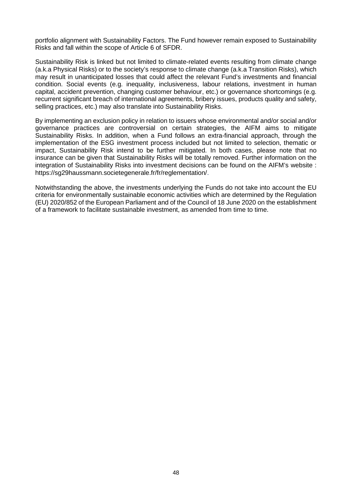portfolio alignment with Sustainability Factors. The Fund however remain exposed to Sustainability Risks and fall within the scope of Article 6 of SFDR.

Sustainability Risk is linked but not limited to climate-related events resulting from climate change (a.k.a Physical Risks) or to the society's response to climate change (a.k.a Transition Risks), which may result in unanticipated losses that could affect the relevant Fund's investments and financial condition. Social events (e.g. inequality, inclusiveness, labour relations, investment in human capital, accident prevention, changing customer behaviour, etc.) or governance shortcomings (e.g. recurrent significant breach of international agreements, bribery issues, products quality and safety, selling practices, etc.) may also translate into Sustainability Risks.

By implementing an exclusion policy in relation to issuers whose environmental and/or social and/or governance practices are controversial on certain strategies, the AIFM aims to mitigate Sustainability Risks. In addition, when a Fund follows an extra-financial approach, through the implementation of the ESG investment process included but not limited to selection, thematic or impact, Sustainability Risk intend to be further mitigated. In both cases, please note that no insurance can be given that Sustainability Risks will be totally removed. Further information on the integration of Sustainability Risks into investment decisions can be found on the AIFM's website : https://sg29haussmann.societegenerale.fr/fr/reglementation/.

Notwithstanding the above, the investments underlying the Funds do not take into account the EU criteria for environmentally sustainable economic activities which are determined by the Regulation (EU) 2020/852 of the European Parliament and of the Council of 18 June 2020 on the establishment of a framework to facilitate sustainable investment, as amended from time to time.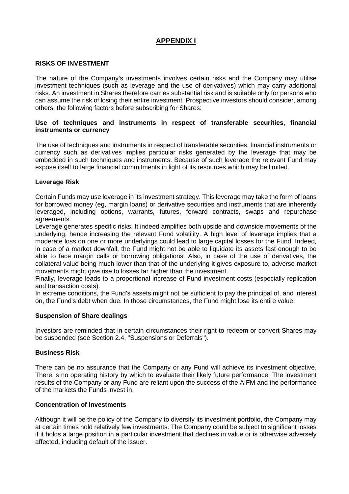## **APPENDIX I**

### **RISKS OF INVESTMENT**

The nature of the Company's investments involves certain risks and the Company may utilise investment techniques (such as leverage and the use of derivatives) which may carry additional risks. An investment in Shares therefore carries substantial risk and is suitable only for persons who can assume the risk of losing their entire investment. Prospective investors should consider, among others, the following factors before subscribing for Shares:

#### **Use of techniques and instruments in respect of transferable securities, financial instruments or currency**

The use of techniques and instruments in respect of transferable securities, financial instruments or currency such as derivatives implies particular risks generated by the leverage that may be embedded in such techniques and instruments. Because of such leverage the relevant Fund may expose itself to large financial commitments in light of its resources which may be limited.

#### **Leverage Risk**

Certain Funds may use leverage in its investment strategy. This leverage may take the form of loans for borrowed money (eg, margin loans) or derivative securities and instruments that are inherently leveraged, including options, warrants, futures, forward contracts, swaps and repurchase agreements.

Leverage generates specific risks. It indeed amplifies both upside and downside movements of the underlying, hence increasing the relevant Fund volatility. A high level of leverage implies that a moderate loss on one or more underlyings could lead to large capital losses for the Fund. Indeed, in case of a market downfall, the Fund might not be able to liquidate its assets fast enough to be able to face margin calls or borrowing obligations. Also, in case of the use of derivatives, the collateral value being much lower than that of the underlying it gives exposure to, adverse market movements might give rise to losses far higher than the investment.

Finally, leverage leads to a proportional increase of Fund investment costs (especially replication and transaction costs).

In extreme conditions, the Fund's assets might not be sufficient to pay the principal of, and interest on, the Fund's debt when due. In those circumstances, the Fund might lose its entire value.

#### **Suspension of Share dealings**

Investors are reminded that in certain circumstances their right to redeem or convert Shares may be suspended (see Section 2.4, "Suspensions or Deferrals").

#### **Business Risk**

There can be no assurance that the Company or any Fund will achieve its investment objective. There is no operating history by which to evaluate their likely future performance. The investment results of the Company or any Fund are reliant upon the success of the AIFM and the performance of the markets the Funds invest in.

#### **Concentration of Investments**

Although it will be the policy of the Company to diversify its investment portfolio, the Company may at certain times hold relatively few investments. The Company could be subject to significant losses if it holds a large position in a particular investment that declines in value or is otherwise adversely affected, including default of the issuer.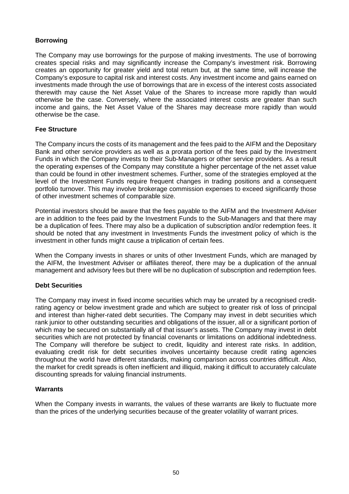### **Borrowing**

The Company may use borrowings for the purpose of making investments. The use of borrowing creates special risks and may significantly increase the Company's investment risk. Borrowing creates an opportunity for greater yield and total return but, at the same time, will increase the Company's exposure to capital risk and interest costs. Any investment income and gains earned on investments made through the use of borrowings that are in excess of the interest costs associated therewith may cause the Net Asset Value of the Shares to increase more rapidly than would otherwise be the case. Conversely, where the associated interest costs are greater than such income and gains, the Net Asset Value of the Shares may decrease more rapidly than would otherwise be the case.

## **Fee Structure**

The Company incurs the costs of its management and the fees paid to the AIFM and the Depositary Bank and other service providers as well as a prorata portion of the fees paid by the Investment Funds in which the Company invests to their Sub-Managers or other service providers. As a result the operating expenses of the Company may constitute a higher percentage of the net asset value than could be found in other investment schemes. Further, some of the strategies employed at the level of the Investment Funds require frequent changes in trading positions and a consequent portfolio turnover. This may involve brokerage commission expenses to exceed significantly those of other investment schemes of comparable size.

Potential investors should be aware that the fees payable to the AIFM and the Investment Adviser are in addition to the fees paid by the Investment Funds to the Sub-Managers and that there may be a duplication of fees. There may also be a duplication of subscription and/or redemption fees. It should be noted that any investment in Investments Funds the investment policy of which is the investment in other funds might cause a triplication of certain fees.

When the Company invests in shares or units of other Investment Funds, which are managed by the AIFM, the Investment Adviser or affiliates thereof, there may be a duplication of the annual management and advisory fees but there will be no duplication of subscription and redemption fees.

### **Debt Securities**

The Company may invest in fixed income securities which may be unrated by a recognised creditrating agency or below investment grade and which are subject to greater risk of loss of principal and interest than higher-rated debt securities. The Company may invest in debt securities which rank junior to other outstanding securities and obligations of the issuer, all or a significant portion of which may be secured on substantially all of that issuer's assets. The Company may invest in debt securities which are not protected by financial covenants or limitations on additional indebtedness. The Company will therefore be subject to credit, liquidity and interest rate risks. In addition, evaluating credit risk for debt securities involves uncertainty because credit rating agencies throughout the world have different standards, making comparison across countries difficult. Also, the market for credit spreads is often inefficient and illiquid, making it difficult to accurately calculate discounting spreads for valuing financial instruments.

### **Warrants**

When the Company invests in warrants, the values of these warrants are likely to fluctuate more than the prices of the underlying securities because of the greater volatility of warrant prices.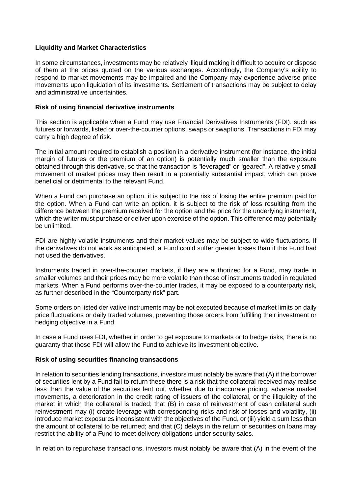### **Liquidity and Market Characteristics**

In some circumstances, investments may be relatively illiquid making it difficult to acquire or dispose of them at the prices quoted on the various exchanges. Accordingly, the Company's ability to respond to market movements may be impaired and the Company may experience adverse price movements upon liquidation of its investments. Settlement of transactions may be subject to delay and administrative uncertainties.

#### **Risk of using financial derivative instruments**

This section is applicable when a Fund may use Financial Derivatives Instruments (FDI), such as futures or forwards, listed or over-the-counter options, swaps or swaptions. Transactions in FDI may carry a high degree of risk.

The initial amount required to establish a position in a derivative instrument (for instance, the initial margin of futures or the premium of an option) is potentially much smaller than the exposure obtained through this derivative, so that the transaction is "leveraged" or "geared". A relatively small movement of market prices may then result in a potentially substantial impact, which can prove beneficial or detrimental to the relevant Fund.

When a Fund can purchase an option, it is subject to the risk of losing the entire premium paid for the option. When a Fund can write an option, it is subject to the risk of loss resulting from the difference between the premium received for the option and the price for the underlying instrument, which the writer must purchase or deliver upon exercise of the option. This difference may potentially be unlimited.

FDI are highly volatile instruments and their market values may be subject to wide fluctuations. If the derivatives do not work as anticipated, a Fund could suffer greater losses than if this Fund had not used the derivatives.

Instruments traded in over-the-counter markets, if they are authorized for a Fund, may trade in smaller volumes and their prices may be more volatile than those of instruments traded in regulated markets. When a Fund performs over-the-counter trades, it may be exposed to a counterparty risk, as further described in the "Counterparty risk" part.

Some orders on listed derivative instruments may be not executed because of market limits on daily price fluctuations or daily traded volumes, preventing those orders from fulfilling their investment or hedging objective in a Fund.

In case a Fund uses FDI, whether in order to get exposure to markets or to hedge risks, there is no guaranty that those FDI will allow the Fund to achieve its investment objective.

### **Risk of using securities financing transactions**

In relation to securities lending transactions, investors must notably be aware that (A) if the borrower of securities lent by a Fund fail to return these there is a risk that the collateral received may realise less than the value of the securities lent out, whether due to inaccurate pricing, adverse market movements, a deterioration in the credit rating of issuers of the collateral, or the illiquidity of the market in which the collateral is traded; that (B) in case of reinvestment of cash collateral such reinvestment may (i) create leverage with corresponding risks and risk of losses and volatility, (ii) introduce market exposures inconsistent with the objectives of the Fund, or (iii) yield a sum less than the amount of collateral to be returned; and that (C) delays in the return of securities on loans may restrict the ability of a Fund to meet delivery obligations under security sales.

In relation to repurchase transactions, investors must notably be aware that (A) in the event of the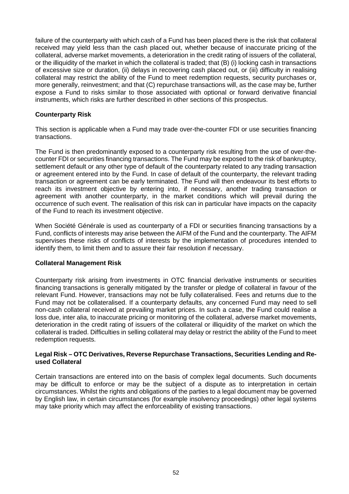failure of the counterparty with which cash of a Fund has been placed there is the risk that collateral received may yield less than the cash placed out, whether because of inaccurate pricing of the collateral, adverse market movements, a deterioration in the credit rating of issuers of the collateral, or the illiquidity of the market in which the collateral is traded; that (B) (i) locking cash in transactions of excessive size or duration, (ii) delays in recovering cash placed out, or (iii) difficulty in realising collateral may restrict the ability of the Fund to meet redemption requests, security purchases or, more generally, reinvestment; and that (C) repurchase transactions will, as the case may be, further expose a Fund to risks similar to those associated with optional or forward derivative financial instruments, which risks are further described in other sections of this prospectus.

## **Counterparty Risk**

This section is applicable when a Fund may trade over-the-counter FDI or use securities financing transactions.

The Fund is then predominantly exposed to a counterparty risk resulting from the use of over-thecounter FDI or securities financing transactions. The Fund may be exposed to the risk of bankruptcy, settlement default or any other type of default of the counterparty related to any trading transaction or agreement entered into by the Fund. In case of default of the counterparty, the relevant trading transaction or agreement can be early terminated. The Fund will then endeavour its best efforts to reach its investment objective by entering into, if necessary, another trading transaction or agreement with another counterparty, in the market conditions which will prevail during the occurrence of such event. The realisation of this risk can in particular have impacts on the capacity of the Fund to reach its investment objective.

When Société Générale is used as counterparty of a FDI or securities financing transactions by a Fund, conflicts of interests may arise between the AIFM of the Fund and the counterparty. The AIFM supervises these risks of conflicts of interests by the implementation of procedures intended to identify them, to limit them and to assure their fair resolution if necessary.

### **Collateral Management Risk**

Counterparty risk arising from investments in OTC financial derivative instruments or securities financing transactions is generally mitigated by the transfer or pledge of collateral in favour of the relevant Fund. However, transactions may not be fully collateralised. Fees and returns due to the Fund may not be collateralised. If a counterparty defaults, any concerned Fund may need to sell non-cash collateral received at prevailing market prices. In such a case, the Fund could realise a loss due, inter alia, to inaccurate pricing or monitoring of the collateral, adverse market movements, deterioration in the credit rating of issuers of the collateral or illiquidity of the market on which the collateral is traded. Difficulties in selling collateral may delay or restrict the ability of the Fund to meet redemption requests.

#### **Legal Risk – OTC Derivatives, Reverse Repurchase Transactions, Securities Lending and Reused Collateral**

Certain transactions are entered into on the basis of complex legal documents. Such documents may be difficult to enforce or may be the subject of a dispute as to interpretation in certain circumstances. Whilst the rights and obligations of the parties to a legal document may be governed by English law, in certain circumstances (for example insolvency proceedings) other legal systems may take priority which may affect the enforceability of existing transactions.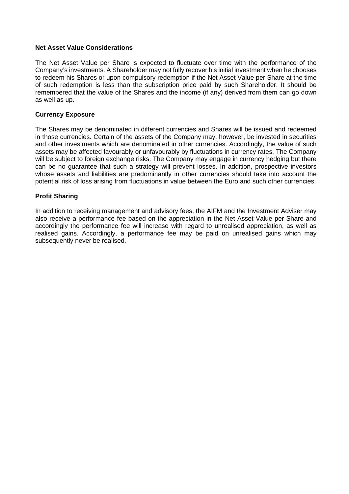### **Net Asset Value Considerations**

The Net Asset Value per Share is expected to fluctuate over time with the performance of the Company's investments. A Shareholder may not fully recover his initial investment when he chooses to redeem his Shares or upon compulsory redemption if the Net Asset Value per Share at the time of such redemption is less than the subscription price paid by such Shareholder. It should be remembered that the value of the Shares and the income (if any) derived from them can go down as well as up.

#### **Currency Exposure**

The Shares may be denominated in different currencies and Shares will be issued and redeemed in those currencies. Certain of the assets of the Company may, however, be invested in securities and other investments which are denominated in other currencies. Accordingly, the value of such assets may be affected favourably or unfavourably by fluctuations in currency rates. The Company will be subject to foreign exchange risks. The Company may engage in currency hedging but there can be no guarantee that such a strategy will prevent losses. In addition, prospective investors whose assets and liabilities are predominantly in other currencies should take into account the potential risk of loss arising from fluctuations in value between the Euro and such other currencies.

### **Profit Sharing**

In addition to receiving management and advisory fees, the AIFM and the Investment Adviser may also receive a performance fee based on the appreciation in the Net Asset Value per Share and accordingly the performance fee will increase with regard to unrealised appreciation, as well as realised gains. Accordingly, a performance fee may be paid on unrealised gains which may subsequently never be realised.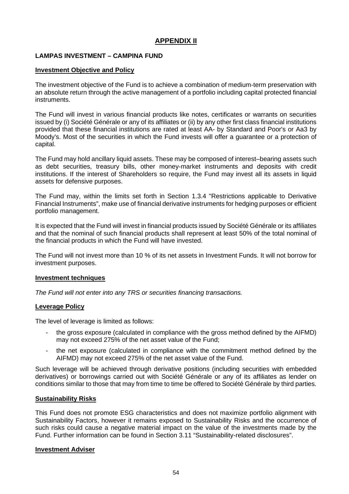## **APPENDIX II**

### **LAMPAS INVESTMENT – CAMPINA FUND**

#### **Investment Objective and Policy**

The investment objective of the Fund is to achieve a combination of medium-term preservation with an absolute return through the active management of a portfolio including capital protected financial instruments.

The Fund will invest in various financial products like notes, certificates or warrants on securities issued by (i) Société Générale or any of its affiliates or (ii) by any other first class financial institutions provided that these financial institutions are rated at least AA- by Standard and Poor's or Aa3 by Moody's. Most of the securities in which the Fund invests will offer a guarantee or a protection of capital.

The Fund may hold ancillary liquid assets. These may be composed of interest–bearing assets such as debt securities, treasury bills, other money-market instruments and deposits with credit institutions. If the interest of Shareholders so require, the Fund may invest all its assets in liquid assets for defensive purposes.

The Fund may, within the limits set forth in Section 1.3.4 "Restrictions applicable to Derivative Financial Instruments", make use of financial derivative instruments for hedging purposes or efficient portfolio management.

It is expected that the Fund will invest in financial products issued by Société Générale or its affiliates and that the nominal of such financial products shall represent at least 50% of the total nominal of the financial products in which the Fund will have invested.

The Fund will not invest more than 10 % of its net assets in Investment Funds. It will not borrow for investment purposes.

#### **Investment techniques**

*The Fund will not enter into any TRS or securities financing transactions.*

### **Leverage Policy**

The level of leverage is limited as follows:

- the gross exposure (calculated in compliance with the gross method defined by the AIFMD) may not exceed 275% of the net asset value of the Fund;
- the net exposure (calculated in compliance with the commitment method defined by the AIFMD) may not exceed 275% of the net asset value of the Fund.

Such leverage will be achieved through derivative positions (including securities with embedded derivatives) or borrowings carried out with Société Générale or any of its affiliates as lender on conditions similar to those that may from time to time be offered to Société Générale by third parties.

### **Sustainability Risks**

This Fund does not promote ESG characteristics and does not maximize portfolio alignment with Sustainability Factors, however it remains exposed to Sustainability Risks and the occurrence of such risks could cause a negative material impact on the value of the investments made by the Fund. Further information can be found in Section 3.11 "Sustainability-related disclosures".

#### **Investment Adviser**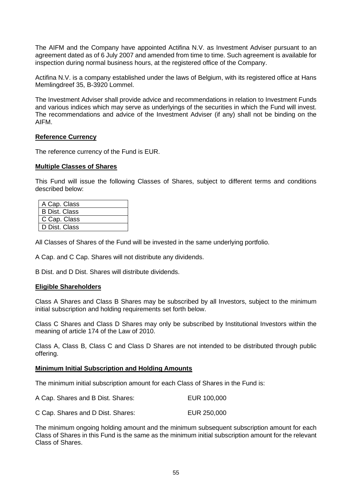The AIFM and the Company have appointed Actifina N.V. as Investment Adviser pursuant to an agreement dated as of 6 July 2007 and amended from time to time. Such agreement is available for inspection during normal business hours, at the registered office of the Company.

Actifina N.V. is a company established under the laws of Belgium, with its registered office at Hans Memlingdreef 35, B-3920 Lommel.

The Investment Adviser shall provide advice and recommendations in relation to Investment Funds and various indices which may serve as underlyings of the securities in which the Fund will invest. The recommendations and advice of the Investment Adviser (if any) shall not be binding on the AIFM.

#### **Reference Currency**

The reference currency of the Fund is EUR.

#### **Multiple Classes of Shares**

This Fund will issue the following Classes of Shares, subject to different terms and conditions described below:

| A Cap. Class         |  |
|----------------------|--|
| <b>B Dist. Class</b> |  |
| C Cap. Class         |  |
| D Dist. Class        |  |

All Classes of Shares of the Fund will be invested in the same underlying portfolio.

A Cap. and C Cap. Shares will not distribute any dividends.

B Dist. and D Dist. Shares will distribute dividends.

#### **Eligible Shareholders**

Class A Shares and Class B Shares may be subscribed by all Investors, subject to the minimum initial subscription and holding requirements set forth below.

Class C Shares and Class D Shares may only be subscribed by Institutional Investors within the meaning of article 174 of the Law of 2010.

Class A, Class B, Class C and Class D Shares are not intended to be distributed through public offering.

#### **Minimum Initial Subscription and Holding Amounts**

The minimum initial subscription amount for each Class of Shares in the Fund is:

| A Cap. Shares and B Dist. Shares: | EUR 100,000 |
|-----------------------------------|-------------|
| C Cap. Shares and D Dist. Shares: | EUR 250,000 |

The minimum ongoing holding amount and the minimum subsequent subscription amount for each Class of Shares in this Fund is the same as the minimum initial subscription amount for the relevant Class of Shares.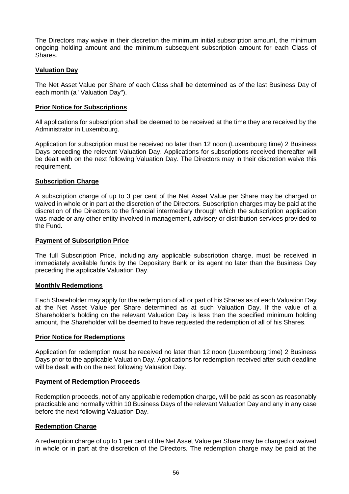The Directors may waive in their discretion the minimum initial subscription amount, the minimum ongoing holding amount and the minimum subsequent subscription amount for each Class of Shares.

### **Valuation Day**

The Net Asset Value per Share of each Class shall be determined as of the last Business Day of each month (a "Valuation Day").

#### **Prior Notice for Subscriptions**

All applications for subscription shall be deemed to be received at the time they are received by the Administrator in Luxembourg.

Application for subscription must be received no later than 12 noon (Luxembourg time) 2 Business Days preceding the relevant Valuation Day. Applications for subscriptions received thereafter will be dealt with on the next following Valuation Day. The Directors may in their discretion waive this requirement.

#### **Subscription Charge**

A subscription charge of up to 3 per cent of the Net Asset Value per Share may be charged or waived in whole or in part at the discretion of the Directors. Subscription charges may be paid at the discretion of the Directors to the financial intermediary through which the subscription application was made or any other entity involved in management, advisory or distribution services provided to the Fund.

#### **Payment of Subscription Price**

The full Subscription Price, including any applicable subscription charge, must be received in immediately available funds by the Depositary Bank or its agent no later than the Business Day preceding the applicable Valuation Day.

#### **Monthly Redemptions**

Each Shareholder may apply for the redemption of all or part of his Shares as of each Valuation Day at the Net Asset Value per Share determined as at such Valuation Day. If the value of a Shareholder's holding on the relevant Valuation Day is less than the specified minimum holding amount, the Shareholder will be deemed to have requested the redemption of all of his Shares.

#### **Prior Notice for Redemptions**

Application for redemption must be received no later than 12 noon (Luxembourg time) 2 Business Days prior to the applicable Valuation Day. Applications for redemption received after such deadline will be dealt with on the next following Valuation Day.

#### **Payment of Redemption Proceeds**

Redemption proceeds, net of any applicable redemption charge, will be paid as soon as reasonably practicable and normally within 10 Business Days of the relevant Valuation Day and any in any case before the next following Valuation Day.

### **Redemption Charge**

A redemption charge of up to 1 per cent of the Net Asset Value per Share may be charged or waived in whole or in part at the discretion of the Directors. The redemption charge may be paid at the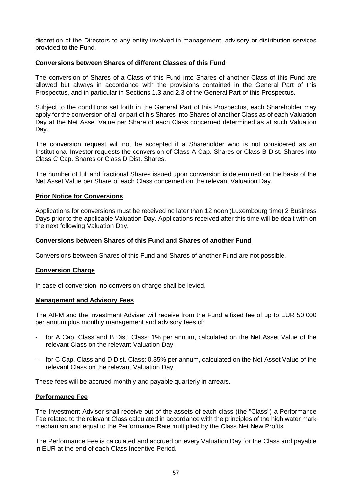discretion of the Directors to any entity involved in management, advisory or distribution services provided to the Fund.

#### **Conversions between Shares of different Classes of this Fund**

The conversion of Shares of a Class of this Fund into Shares of another Class of this Fund are allowed but always in accordance with the provisions contained in the General Part of this Prospectus, and in particular in Sections 1.3 and 2.3 of the General Part of this Prospectus.

Subject to the conditions set forth in the General Part of this Prospectus, each Shareholder may apply for the conversion of all or part of his Shares into Shares of another Class as of each Valuation Day at the Net Asset Value per Share of each Class concerned determined as at such Valuation Day.

The conversion request will not be accepted if a Shareholder who is not considered as an Institutional Investor requests the conversion of Class A Cap. Shares or Class B Dist. Shares into Class C Cap. Shares or Class D Dist. Shares.

The number of full and fractional Shares issued upon conversion is determined on the basis of the Net Asset Value per Share of each Class concerned on the relevant Valuation Day.

#### **Prior Notice for Conversions**

Applications for conversions must be received no later than 12 noon (Luxembourg time) 2 Business Days prior to the applicable Valuation Day. Applications received after this time will be dealt with on the next following Valuation Day.

#### **Conversions between Shares of this Fund and Shares of another Fund**

Conversions between Shares of this Fund and Shares of another Fund are not possible.

#### **Conversion Charge**

In case of conversion, no conversion charge shall be levied.

#### **Management and Advisory Fees**

The AIFM and the Investment Adviser will receive from the Fund a fixed fee of up to EUR 50,000 per annum plus monthly management and advisory fees of:

- for A Cap. Class and B Dist. Class: 1% per annum, calculated on the Net Asset Value of the relevant Class on the relevant Valuation Day;
- for C Cap. Class and D Dist. Class: 0.35% per annum, calculated on the Net Asset Value of the relevant Class on the relevant Valuation Day.

These fees will be accrued monthly and payable quarterly in arrears.

#### **Performance Fee**

The Investment Adviser shall receive out of the assets of each class (the "Class") a Performance Fee related to the relevant Class calculated in accordance with the principles of the high water mark mechanism and equal to the Performance Rate multiplied by the Class Net New Profits.

The Performance Fee is calculated and accrued on every Valuation Day for the Class and payable in EUR at the end of each Class Incentive Period.